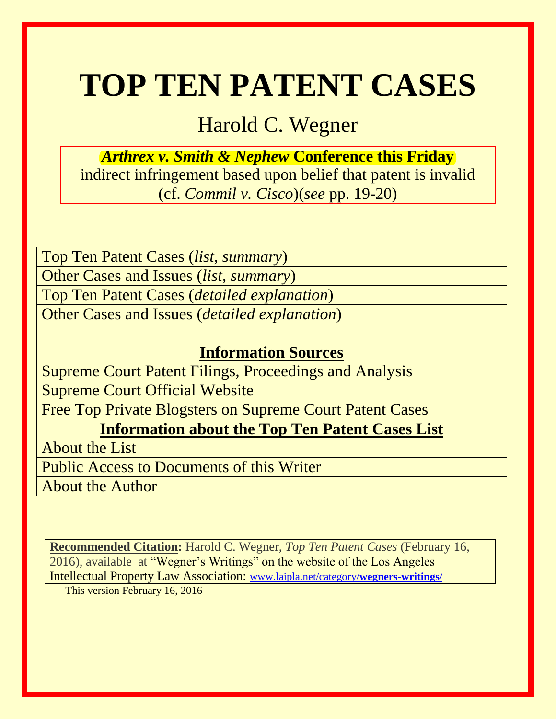# **TOP TEN PATENT CASES**

# Harold C. Wegner

*Arthrex v. Smith & Nephew* **Conference this Friday** indirect infringement based upon belief that patent is invalid (cf. *Commil v. Cisco*)(*see* pp. 19-20)

Top Ten Patent Cases (*list, summary*) Other Cases and Issues (*list, summary*) Top Ten Patent Cases (*detailed explanation*) Other Cases and Issues (*detailed explanation*)

# **Information Sources**

Supreme Court Patent Filings, Proceedings and Analysis

Supreme Court Official Website

Free Top Private Blogsters on Supreme Court Patent Cases

**Information about the Top Ten Patent Cases List**

About the List

Public Access to Documents of this Writer

About the Author

**Recommended Citation:** Harold C. Wegner, *Top Ten Patent Cases* (February 16, 2016)*,* available at "Wegner's Writings" on the website of the Los Angeles Intellectual Property Law Association: [www.laipla.net/category/](http://www.laipla.net/category/wegners-writings/)**wegners-writings**/

This version February 16, 2016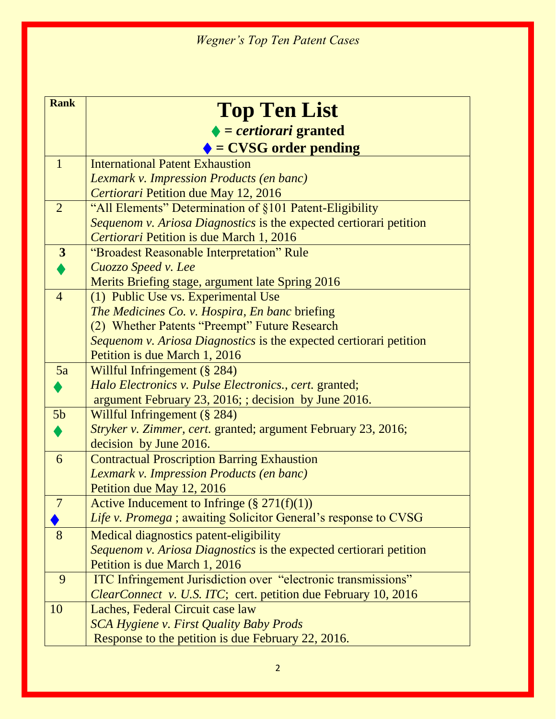| <b>Rank</b>      | <b>Top Ten List</b>                                                                             |
|------------------|-------------------------------------------------------------------------------------------------|
|                  | $\blacklozenge$ = certiorari granted                                                            |
|                  | $\blacklozenge$ = CVSG order pending                                                            |
|                  | <b>International Patent Exhaustion</b>                                                          |
| $\mathbf{1}$     |                                                                                                 |
|                  | Lexmark v. Impression Products (en banc)                                                        |
| $\overline{2}$   | Certiorari Petition due May 12, 2016<br>"All Elements" Determination of §101 Patent-Eligibility |
|                  | Sequenom v. Ariosa Diagnostics is the expected certiorari petition                              |
|                  | Certiorari Petition is due March 1, 2016                                                        |
| $\boldsymbol{3}$ | "Broadest Reasonable Interpretation" Rule                                                       |
|                  | Cuozzo Speed v. Lee                                                                             |
|                  | Merits Briefing stage, argument late Spring 2016                                                |
| $\overline{4}$   | (1) Public Use vs. Experimental Use                                                             |
|                  | The Medicines Co. v. Hospira, En banc briefing                                                  |
|                  | (2) Whether Patents "Preempt" Future Research                                                   |
|                  | Sequenom v. Ariosa Diagnostics is the expected certiorari petition                              |
|                  | Petition is due March 1, 2016                                                                   |
| 5a               | Willful Infringement (§ 284)                                                                    |
|                  | Halo Electronics v. Pulse Electronics., cert. granted;                                          |
|                  | argument February 23, 2016; ; decision by June 2016.                                            |
| 5 <sub>b</sub>   | Willful Infringement (§ 284)                                                                    |
|                  | Stryker v. Zimmer, cert. granted; argument February 23, 2016;                                   |
|                  | decision by June 2016.                                                                          |
| 6                | <b>Contractual Proscription Barring Exhaustion</b>                                              |
|                  | Lexmark v. Impression Products (en banc)                                                        |
|                  | Petition due May 12, 2016                                                                       |
|                  | Active Inducement to Infringe $(\S 271(f)(1))$                                                  |
|                  | <i>Life v. Promega</i> ; awaiting Solicitor General's response to CVSG                          |
| 8                | Medical diagnostics patent-eligibility                                                          |
|                  | Sequenom v. Ariosa Diagnostics is the expected certiorari petition                              |
|                  | Petition is due March 1, 2016                                                                   |
| 9                | ITC Infringement Jurisdiction over "electronic transmissions"                                   |
|                  | <i>ClearConnect v. U.S. ITC</i> ; cert. petition due February 10, 2016                          |
| 10               | Laches, Federal Circuit case law                                                                |
|                  | <b>SCA Hygiene v. First Quality Baby Prods</b>                                                  |
|                  | Response to the petition is due February 22, 2016.                                              |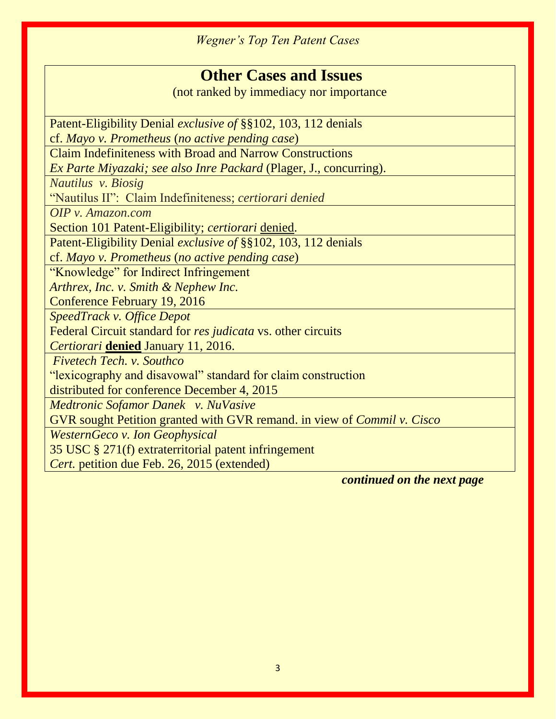# **Other Cases and Issues**

(not ranked by immediacy nor importance

Patent-Eligibility Denial *exclusive of* §§102, 103, 112 denials

cf. *Mayo v. Prometheus* (*no active pending case*)

Claim Indefiniteness with Broad and Narrow Constructions

*Ex Parte Miyazaki; see also Inre Packard* (Plager, J., concurring).

*Nautilus v. Biosig* 

"Nautilus II": Claim Indefiniteness; *certiorari denied*

*OIP v. Amazon.com* 

Section 101 Patent-Eligibility; *certiorari* denied.

Patent-Eligibility Denial *exclusive of* §§102, 103, 112 denials

cf. *Mayo v. Prometheus* (*no active pending case*)

"Knowledge" for Indirect Infringement

*Arthrex, Inc. v. Smith & Nephew Inc.*

Conference February 19, 2016

*SpeedTrack v. Office Depot* 

Federal Circuit standard for *res judicata* vs. other circuits

*Certiorari* **denied** January 11, 2016.

*Fivetech Tech. v. Southco* 

"lexicography and disavowal" standard for claim construction

distributed for conference December 4, 2015

*Medtronic Sofamor Danek v. NuVasive* 

GVR sought Petition granted with GVR remand. in view of *Commil v. Cisco*

*WesternGeco v. Ion Geophysical* 

35 USC § 271(f) extraterritorial patent infringement

*Cert.* petition due Feb. 26, 2015 (extended)

 *continued on the next page*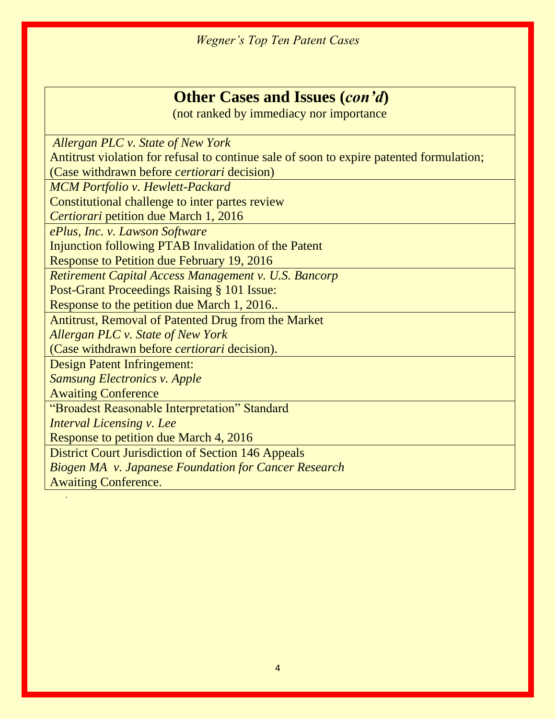# **Other Cases and Issues (***con'd***)**

(not ranked by immediacy nor importance

 *Allergan PLC v. State of New York*  Antitrust violation for refusal to continue sale of soon to expire patented formulation; (Case withdrawn before *certiorari* decision) *MCM Portfolio v. Hewlett-Packard*  Constitutional challenge to inter partes review *Certiorari* petition due March 1, 2016 *ePlus, Inc. v. Lawson Software* Injunction following PTAB Invalidation of the Patent Response to Petition due February 19, 2016 *Retirement Capital Access Management v. U.S. Bancorp* Post-Grant Proceedings Raising § 101 Issue: Response to the petition due March 1, 2016.. Antitrust, Removal of Patented Drug from the Market *Allergan PLC v. State of New York* (Case withdrawn before *certiorari* decision). Design Patent Infringement: *Samsung Electronics v. Apple*  Awaiting Conference "Broadest Reasonable Interpretation" Standard *Interval Licensing v. Lee* Response to petition due March 4, 2016 District Court Jurisdiction of Section 146 Appeals *Biogen MA v. Japanese Foundation for Cancer Research* Awaiting Conference.

.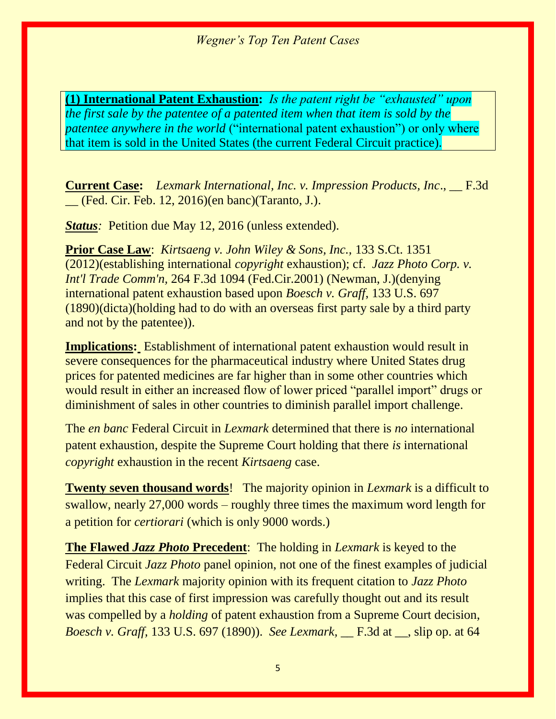**(1) International Patent Exhaustion:** *Is the patent right be "exhausted" upon the first sale by the patentee of a patented item when that item is sold by the patentee anywhere in the world* ("international patent exhaustion") or only where that item is sold in the United States (the current Federal Circuit practice).

**Current Case:** *Lexmark International, Inc. v. Impression Products, Inc*., \_\_ F.3d \_\_ (Fed. Cir. Feb. 12, 2016)(en banc)(Taranto, J.).

*Status:* Petition due May 12, 2016 (unless extended).

**Prior Case Law**: *Kirtsaeng v. John Wiley & Sons, Inc.,* 133 S.Ct. 1351 (2012)(establishing international *copyright* exhaustion); cf. *Jazz Photo Corp. v. Int'l Trade Comm'n,* 264 F.3d 1094 (Fed.Cir.2001) (Newman, J.)(denying international patent exhaustion based upon *Boesch v. Graff*, 133 U.S. 697 (1890)(dicta)(holding had to do with an overseas first party sale by a third party and not by the patentee)).

**Implications:** Establishment of international patent exhaustion would result in severe consequences for the pharmaceutical industry where United States drug prices for patented medicines are far higher than in some other countries which would result in either an increased flow of lower priced "parallel import" drugs or diminishment of sales in other countries to diminish parallel import challenge.

The *en banc* Federal Circuit in *Lexmark* determined that there is *no* international patent exhaustion, despite the Supreme Court holding that there *is* international *copyright* exhaustion in the recent *Kirtsaeng* case.

**Twenty seven thousand words**! The majority opinion in *Lexmark* is a difficult to swallow, nearly 27,000 words – roughly three times the maximum word length for a petition for *certiorari* (which is only 9000 words.)

**The Flawed** *Jazz Photo* **Precedent**: The holding in *Lexmark* is keyed to the Federal Circuit *Jazz Photo* panel opinion, not one of the finest examples of judicial writing. The *Lexmark* majority opinion with its frequent citation to *Jazz Photo*  implies that this case of first impression was carefully thought out and its result was compelled by a *holding* of patent exhaustion from a Supreme Court decision, *Boesch v. Graff,* 133 U.S. 697 (1890)). *See Lexmark,* \_\_ F.3d at \_\_, slip op. at 64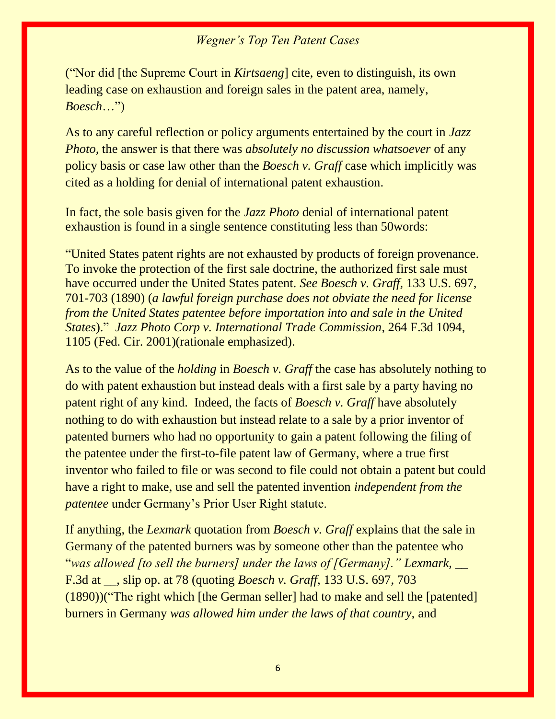("Nor did [the Supreme Court in *Kirtsaeng*] cite, even to distinguish, its own leading case on exhaustion and foreign sales in the patent area, namely, *Boesch*…")

As to any careful reflection or policy arguments entertained by the court in *Jazz Photo,* the answer is that there was *absolutely no discussion whatsoever* of any policy basis or case law other than the *Boesch v. Graff* case which implicitly was cited as a holding for denial of international patent exhaustion.

In fact, the sole basis given for the *Jazz Photo* denial of international patent exhaustion is found in a single sentence constituting less than 50words:

"United States patent rights are not exhausted by products of foreign provenance. To invoke the protection of the first sale doctrine, the authorized first sale must have occurred under the United States patent*. See Boesch v. Graff,* 133 U.S. 697, 701-703 (1890) (*a lawful foreign purchase does not obviate the need for license from the United States patentee before importation into and sale in the United States*)." *Jazz Photo Corp v. International Trade Commission*, 264 F.3d 1094, 1105 (Fed. Cir. 2001)(rationale emphasized).

As to the value of the *holding* in *Boesch v. Graff* the case has absolutely nothing to do with patent exhaustion but instead deals with a first sale by a party having no patent right of any kind. Indeed, the facts of *Boesch v. Graff* have absolutely nothing to do with exhaustion but instead relate to a sale by a prior inventor of patented burners who had no opportunity to gain a patent following the filing of the patentee under the first-to-file patent law of Germany, where a true first inventor who failed to file or was second to file could not obtain a patent but could have a right to make, use and sell the patented invention *independent from the patentee* under Germany's Prior User Right statute.

If anything, the *Lexmark* quotation from *Boesch v. Graff* explains that the sale in Germany of the patented burners was by someone other than the patentee who "*was allowed [to sell the burners] under the laws of [Germany]." Lexmark,* \_\_ F.3d at \_\_, slip op. at 78 (quoting *Boesch v. Graff,* 133 U.S. 697, 703 (1890))("The right which [the German seller] had to make and sell the [patented] burners in Germany *was allowed him under the laws of that country,* and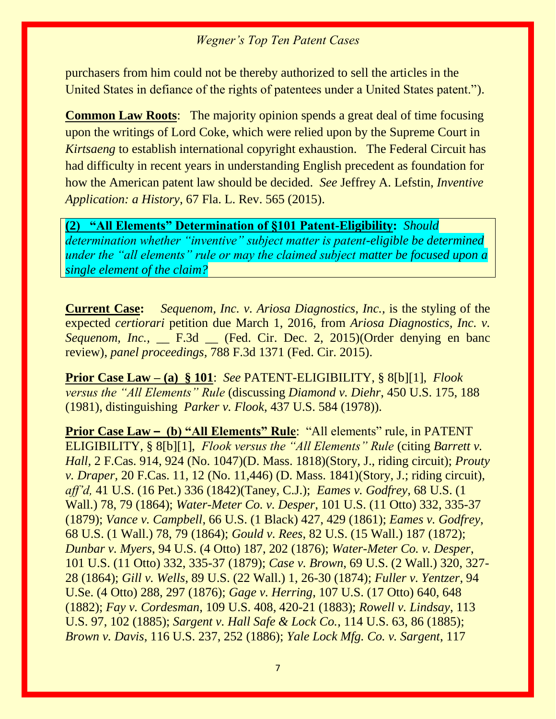purchasers from him could not be thereby authorized to sell the articles in the United States in defiance of the rights of patentees under a United States patent.").

**Common Law Roots**: The majority opinion spends a great deal of time focusing upon the writings of Lord Coke, which were relied upon by the Supreme Court in *Kirtsaeng* to establish international copyright exhaustion. The Federal Circuit has had difficulty in recent years in understanding English precedent as foundation for how the American patent law should be decided. *See* Jeffrey A. Lefstin, *Inventive Application: a History*, 67 Fla. L. Rev. 565 (2015).

#### **(2) "All Elements" Determination of §101 Patent-Eligibility:** *Should*

*determination whether "inventive" subject matter is patent-eligible be determined under the "all elements" rule or may the claimed subject matter be focused upon a single element of the claim?*

**Current Case:** *Sequenom, Inc. v. Ariosa Diagnostics, Inc.,* is the styling of the expected *certiorari* petition due March 1, 2016, from *Ariosa Diagnostics, Inc. v. Sequenom, Inc.,* \_\_ F.3d \_\_ (Fed. Cir. Dec. 2, 2015)(Order denying en banc review), *panel proceedings,* 788 F.3d 1371 (Fed. Cir. 2015).

**Prior Case Law – (a) § 101**: *See* PATENT-ELIGIBILITY, § 8[b][1], *Flook versus the "All Elements" Rule* (discussing *Diamond v. Diehr*, 450 U.S. 175, 188 (1981), distinguishing *Parker v. Flook*, 437 U.S. 584 (1978))*.*

**Prior Case Law –** (b) "All Elements" Rule: "All elements" rule, in PATENT ELIGIBILITY, § 8[b][1], *Flook versus the "All Elements" Rule* (citing *Barrett v. Hall,* 2 F.Cas. 914, 924 (No. 1047)(D. Mass. 1818)(Story, J., riding circuit); *Prouty v. Draper,* 20 F.Cas. 11, 12 (No. 11,446) (D. Mass. 1841)(Story, J.; riding circuit), *aff'd,* 41 U.S. (16 Pet.) 336 (1842)(Taney, C.J.); *Eames v. Godfrey*, 68 U.S. (1 Wall.) 78, 79 (1864); *Water-Meter Co. v. Desper*, 101 U.S. (11 Otto) 332, 335-37 (1879); *Vance v. Campbell*, 66 U.S. (1 Black) 427, 429 (1861); *Eames v. Godfrey*, 68 U.S. (1 Wall.) 78, 79 (1864); *Gould v. Rees*, 82 U.S. (15 Wall.) 187 (1872); *Dunbar v. Myers*, 94 U.S. (4 Otto) 187, 202 (1876); *Water-Meter Co. v. Desper*, 101 U.S. (11 Otto) 332, 335-37 (1879); *Case v. Brown*, 69 U.S. (2 Wall.) 320, 327- 28 (1864); *Gill v. Wells*, 89 U.S. (22 Wall.) 1, 26-30 (1874); *Fuller v. Yentzer*, 94 U.Se. (4 Otto) 288, 297 (1876); *Gage v. Herring*, 107 U.S. (17 Otto) 640, 648 (1882); *Fay v. Cordesman*, 109 U.S. 408, 420-21 (1883); *Rowell v. Lindsay*, 113 U.S. 97, 102 (1885); *Sargent v. Hall Safe & Lock Co.*, 114 U.S. 63, 86 (1885); *Brown v. Davis*, 116 U.S. 237, 252 (1886); *Yale Lock Mfg. Co. v. Sargent*, 117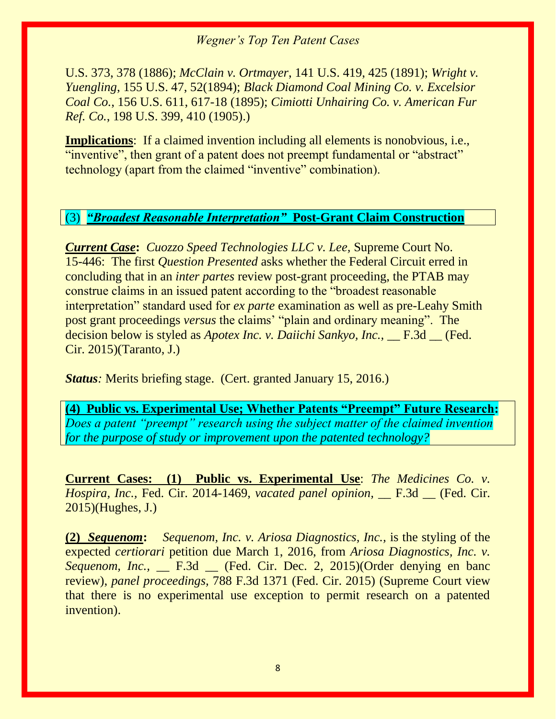U.S. 373, 378 (1886); *McClain v. Ortmayer*, 141 U.S. 419, 425 (1891); *Wright v. Yuengling*, 155 U.S. 47, 52(1894); *Black Diamond Coal Mining Co. v. Excelsior Coal Co.*, 156 U.S. 611, 617-18 (1895); *Cimiotti Unhairing Co. v. American Fur Ref. Co.*, 198 U.S. 399, 410 (1905).)

**Implications**: If a claimed invention including all elements is nonobvious, i.e., "inventive", then grant of a patent does not preempt fundamental or "abstract" technology (apart from the claimed "inventive" combination).

#### (3) *"Broadest Reasonable Interpretation"* **Post-Grant Claim Construction**

*Current Case***:** *Cuozzo Speed Technologies LLC v. Lee,* Supreme Court No. 15-446: The first *Question Presented* asks whether the Federal Circuit erred in concluding that in an *inter partes* review post-grant proceeding, the PTAB may construe claims in an issued patent according to the "broadest reasonable interpretation" standard used for *ex parte* examination as well as pre-Leahy Smith post grant proceedings *versus* the claims' "plain and ordinary meaning". The decision below is styled as *Apotex Inc. v. Daiichi Sankyo, Inc.*, F.3d (Fed.) Cir. 2015)(Taranto, J.)

*Status:* Merits briefing stage. (Cert. granted January 15, 2016.)

**(4) Public vs. Experimental Use; Whether Patents "Preempt" Future Research:**  *Does a patent "preempt" research using the subject matter of the claimed invention for the purpose of study or improvement upon the patented technology?*

**Current Cases: (1) Public vs. Experimental Use**: *The Medicines Co. v. Hospira, Inc.,* Fed. Cir. 2014-1469, *vacated panel opinion,* \_\_ F.3d \_\_ (Fed. Cir. 2015)(Hughes, J.)

**(2)** *Sequenom***:** *Sequenom, Inc. v. Ariosa Diagnostics, Inc.,* is the styling of the expected *certiorari* petition due March 1, 2016, from *Ariosa Diagnostics, Inc. v. Sequenom, Inc.,* F.3d (Fed. Cir. Dec. 2, 2015)(Order denying en banc review), *panel proceedings,* 788 F.3d 1371 (Fed. Cir. 2015) (Supreme Court view that there is no experimental use exception to permit research on a patented invention).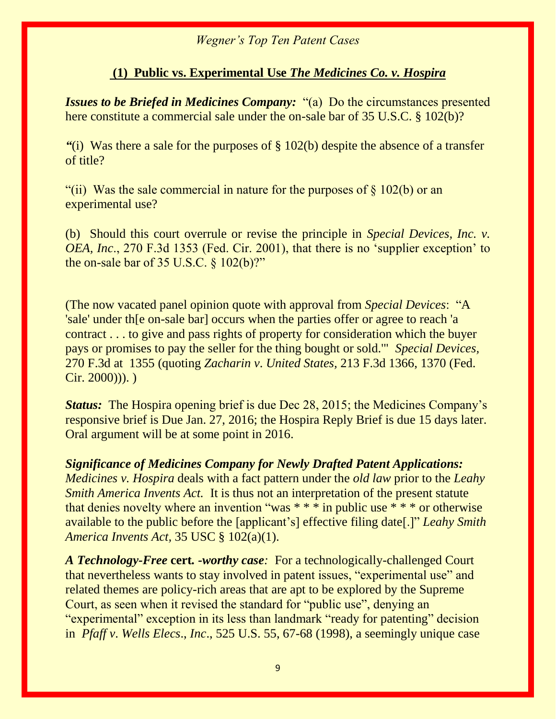#### **(1) Public vs. Experimental Use** *The Medicines Co. v. Hospira*

*Issues to be Briefed in Medicines Company:* "(a) Do the circumstances presented here constitute a commercial sale under the on-sale bar of 35 U.S.C. § 102(b)?

*"*(i) Was there a sale for the purposes of § 102(b) despite the absence of a transfer of title?

"(ii) Was the sale commercial in nature for the purposes of  $\S$  102(b) or an experimental use?

(b) Should this court overrule or revise the principle in *Special Devices, Inc. v. OEA, Inc*., 270 F.3d 1353 (Fed. Cir. 2001), that there is no 'supplier exception' to the on-sale bar of 35 U.S.C.  $\S 102(b)$ ?"

(The now vacated panel opinion quote with approval from *Special Devices*: "A 'sale' under th[e on-sale bar] occurs when the parties offer or agree to reach 'a contract . . . to give and pass rights of property for consideration which the buyer pays or promises to pay the seller for the thing bought or sold.'" *Special Devices,*  270 F.3d at 1355 (quoting *Zacharin v*. *United States,* 213 F.3d 1366, 1370 (Fed. Cir. 2000))). )

*Status:* The Hospira opening brief is due Dec 28, 2015; the Medicines Company's responsive brief is Due Jan. 27, 2016; the Hospira Reply Brief is due 15 days later. Oral argument will be at some point in 2016.

*Significance of Medicines Company for Newly Drafted Patent Applications: Medicines v. Hospira* deals with a fact pattern under the *old law* prior to the *Leahy Smith America Invents Act.* It is thus not an interpretation of the present statute that denies novelty where an invention "was  $***$  in public use  $***$  or otherwise available to the public before the [applicant's] effective filing date[.]" *Leahy Smith America Invents Act,* 35 USC § 102(a)(1).

*A Technology-Free* **cert***. -worthy case:* For a technologically-challenged Court that nevertheless wants to stay involved in patent issues, "experimental use" and related themes are policy-rich areas that are apt to be explored by the Supreme Court, as seen when it revised the standard for "public use", denying an "experimental" exception in its less than landmark "ready for patenting" decision in *Pfaff v*. *Wells Elecs*., *Inc*., 525 U.S. 55, 67-68 (1998), a seemingly unique case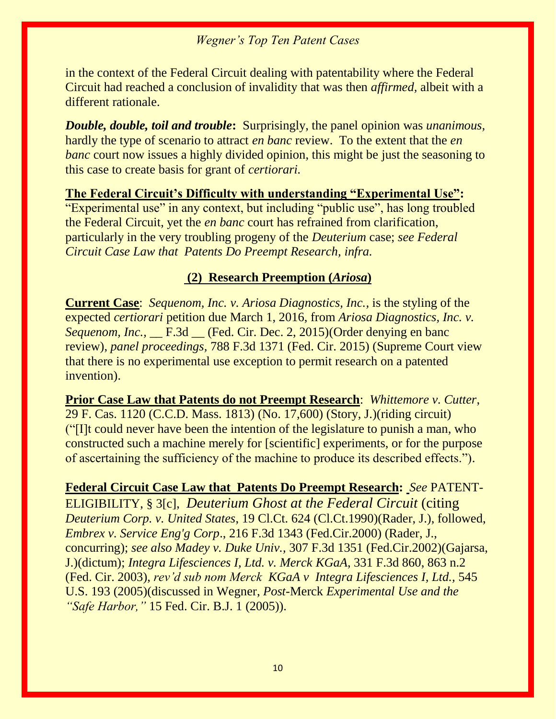in the context of the Federal Circuit dealing with patentability where the Federal Circuit had reached a conclusion of invalidity that was then *affirmed,* albeit with a different rationale.

*Double, double, toil and trouble***:** Surprisingly, the panel opinion was *unanimous,*  hardly the type of scenario to attract *en banc* review. To the extent that the *en banc* court now issues a highly divided opinion, this might be just the seasoning to this case to create basis for grant of *certiorari.*

#### **The Federal Circuit's Difficulty with understanding "Experimental Use":**

"Experimental use" in any context, but including "public use", has long troubled the Federal Circuit, yet the *en banc* court has refrained from clarification, particularly in the very troubling progeny of the *Deuterium* case; *see Federal Circuit Case Law that Patents Do Preempt Research, infra.*

#### **(2) Research Preemption (***Ariosa***)**

**Current Case**: *Sequenom, Inc. v. Ariosa Diagnostics, Inc.,* is the styling of the expected *certiorari* petition due March 1, 2016, from *Ariosa Diagnostics, Inc. v. Sequenom, Inc.,* \_\_ F.3d \_\_ (Fed. Cir. Dec. 2, 2015)(Order denying en banc review), *panel proceedings,* 788 F.3d 1371 (Fed. Cir. 2015) (Supreme Court view that there is no experimental use exception to permit research on a patented invention).

**Prior Case Law that Patents do not Preempt Research**: *Whittemore v. Cutter*, [29 F. Cas. 1120 \(C.C.D. Mass. 1813\)](http://web2.westlaw.com/find/default.wl?mt=208&db=349&tc=-1&rp=%2ffind%2fdefault.wl&findtype=Y&ordoc=0327141183&serialnum=1800139587&vr=2.0&fn=_top&sv=Split&tf=-1&pbc=1CB7E4D8&rs=WLW12.10) (No. 17,600) (Story, J.)(riding circuit) ("[I]t could never have been the intention of the legislature to punish a man, who constructed such a machine merely for [scientific] experiments, or for the purpose of ascertaining the sufficiency of the machine to produce its described effects.").

**Federal Circuit Case Law that Patents Do Preempt Research:** *See* PATENT-ELIGIBILITY, § 3[c], *Deuterium Ghost at the Federal Circuit* (citing *Deuterium Corp. v. United States*, 19 Cl.Ct. 624 (Cl.Ct.1990)(Rader, J.), followed, *Embrex v. Service Eng'g Corp*., 216 F.3d 1343 (Fed.Cir.2000) (Rader, J., concurring); *see also Madey v. Duke Univ.,* 307 F.3d 1351 (Fed.Cir.2002)(Gajarsa, J.)(dictum); *Integra Lifesciences I, Ltd. v. Merck KGaA*, 331 F.3d 860, 863 n.2 (Fed. Cir. 2003), *rev'd sub nom Merck KGaA v Integra Lifesciences I, Ltd.,* 545 U.S. 193 (2005)(discussed in Wegner, *Post*-Merck *Experimental Use and the "Safe Harbor,"* 15 Fed. Cir. B.J. 1 (2005)).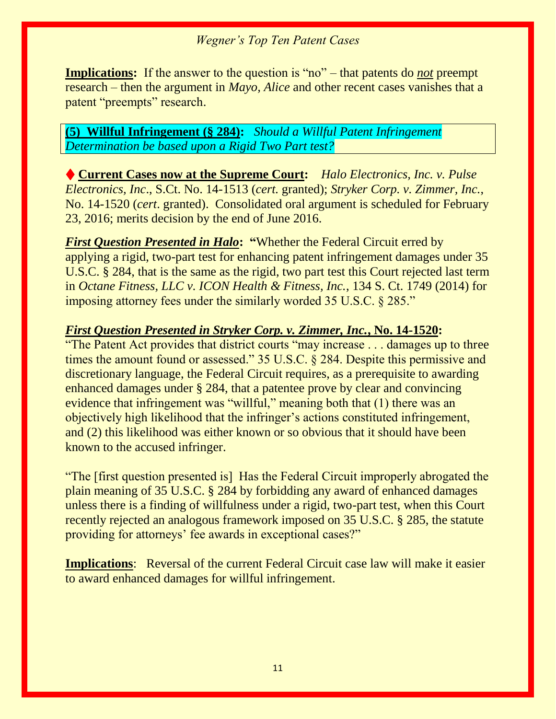**Implications:** If the answer to the question is "no" – that patents do *not* preempt research – then the argument in *Mayo, Alice* and other recent cases vanishes that a patent "preempts" research.

#### **(5)****Willful Infringement (§ 284):** *Should a Willful Patent Infringement Determination be based upon a Rigid Two Part test?*

♦ **Current Cases now at the Supreme Court:** *Halo Electronics, Inc. v. Pulse Electronics, Inc*., S.Ct. No. 14-1513 (*cert.* granted); *Stryker Corp. v. Zimmer, Inc.*, No. 14-1520 (*cert*. granted). Consolidated oral argument is scheduled for February 23, 2016; merits decision by the end of June 2016.

*First Question Presented in Halo***: "**Whether the Federal Circuit erred by applying a rigid, two-part test for enhancing patent infringement damages under 35 U.S.C. § 284, that is the same as the rigid, two part test this Court rejected last term in *Octane Fitness, LLC v. ICON Health & Fitness, Inc.*, 134 S. Ct. 1749 (2014) for imposing attorney fees under the similarly worded 35 U.S.C. § 285."

#### *First Question Presented in Stryker Corp. v. Zimmer, Inc.***, No. 14-1520:**

"The Patent Act provides that district courts "may increase . . . damages up to three times the amount found or assessed." 35 U.S.C. § 284. Despite this permissive and discretionary language, the Federal Circuit requires, as a prerequisite to awarding enhanced damages under § 284, that a patentee prove by clear and convincing evidence that infringement was "willful," meaning both that (1) there was an objectively high likelihood that the infringer's actions constituted infringement, and (2) this likelihood was either known or so obvious that it should have been known to the accused infringer.

"The [first question presented is] Has the Federal Circuit improperly abrogated the plain meaning of 35 U.S.C. § 284 by forbidding any award of enhanced damages unless there is a finding of willfulness under a rigid, two-part test, when this Court recently rejected an analogous framework imposed on 35 U.S.C. § 285, the statute providing for attorneys' fee awards in exceptional cases?"

**Implications:** Reversal of the current Federal Circuit case law will make it easier to award enhanced damages for willful infringement.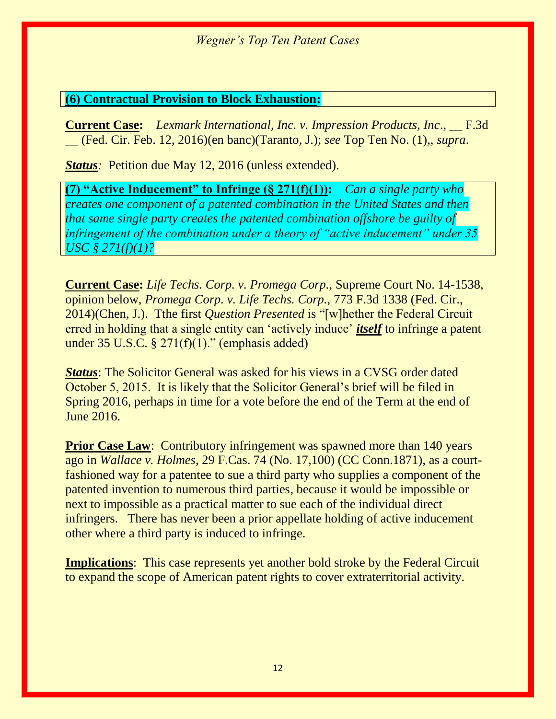#### **(6) Contractual Provision to Block Exhaustion:**

**Current Case:** *Lexmark International, Inc. v. Impression Products, Inc*., \_\_ F.3d \_\_ (Fed. Cir. Feb. 12, 2016)(en banc)(Taranto, J.); *see* Top Ten No. (1),, *supra*.

*Status*: Petition due May 12, 2016 (unless extended).

**(7) "Active Inducement" to Infringe (§ 271(f)(1)):** *Can a single party who creates one component of a patented combination in the United States and then that same single party creates the patented combination offshore be guilty of infringement of the combination under a theory of "active inducement" under 35 USC § 271(f)(1)?*

**Current Case:** *Life Techs. Corp. v. Promega Corp.,* Supreme Court No. 14-1538, opinion below, *Promega Corp. v. Life Techs. Corp.,* 773 F.3d 1338 (Fed. Cir., 2014)(Chen, J.). Tthe first *Question Presented* is "[w]hether the Federal Circuit erred in holding that a single entity can 'actively induce' *itself* to infringe a patent under  $35 \text{ U.S.C. }$ §  $271(f)(1)$ ." (emphasis added)

*Status*: The Solicitor General was asked for his views in a CVSG order dated October 5, 2015. It is likely that the Solicitor General's brief will be filed in Spring 2016, perhaps in time for a vote before the end of the Term at the end of June 2016.

**Prior Case Law:** Contributory infringement was spawned more than 140 years ago in *Wallace v. Holmes*, 29 F.Cas. 74 (No. 17,100) (CC Conn.1871), as a courtfashioned way for a patentee to sue a third party who supplies a component of the patented invention to numerous third parties, because it would be impossible or next to impossible as a practical matter to sue each of the individual direct infringers. There has never been a prior appellate holding of active inducement other where a third party is induced to infringe.

**Implications**: This case represents yet another bold stroke by the Federal Circuit to expand the scope of American patent rights to cover extraterritorial activity.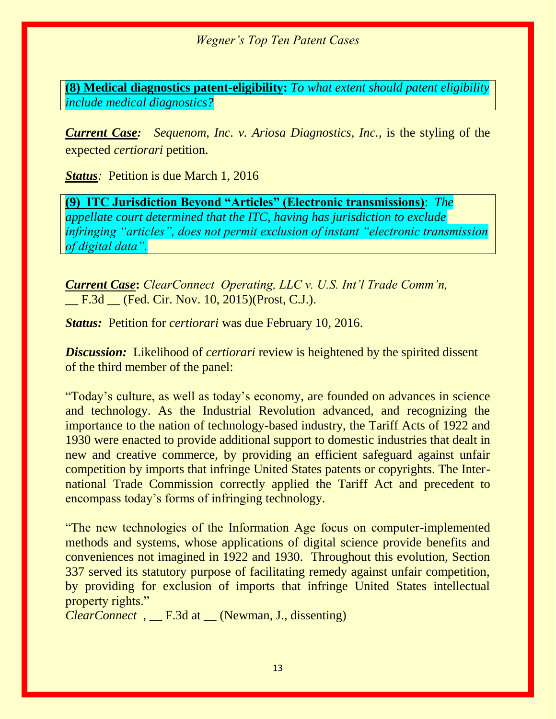**(8) Medical diagnostics patent-eligibility:** *To what extent should patent eligibility include medical diagnostics?* 

*Current Case: Sequenom, Inc. v. Ariosa Diagnostics, Inc.,* is the styling of the expected *certiorari* petition.

*Status:* Petition is due March 1, 2016

**(9) ITC Jurisdiction Beyond "Articles" (Electronic transmissions)**: *The appellate court determined that the ITC, having has jurisdiction to exclude infringing "articles", does not permit exclusion of instant "electronic transmission of digital data".*

*Current Case***:** *ClearConnect Operating, LLC v. U.S. Int'l Trade Comm'n,*  F.3d (Fed. Cir. Nov. 10, 2015)(Prost, C.J.).

*Status:* Petition for *certiorari* was due February 10, 2016.

*Discussion:* Likelihood of *certiorari* review is heightened by the spirited dissent of the third member of the panel:

"Today's culture, as well as today's economy, are founded on advances in science and technology. As the Industrial Revolution advanced, and recognizing the importance to the nation of technology-based industry, the Tariff Acts of 1922 and 1930 were enacted to provide additional support to domestic industries that dealt in new and creative commerce, by providing an efficient safeguard against unfair competition by imports that infringe United States patents or copyrights. The International Trade Commission correctly applied the Tariff Act and precedent to encompass today's forms of infringing technology.

"The new technologies of the Information Age focus on computer-implemented methods and systems, whose applications of digital science provide benefits and conveniences not imagined in 1922 and 1930. Throughout this evolution, Section 337 served its statutory purpose of facilitating remedy against unfair competition, by providing for exclusion of imports that infringe United States intellectual property rights."

*ClearConnect ,* \_\_ F.3d at \_\_ (Newman, J., dissenting)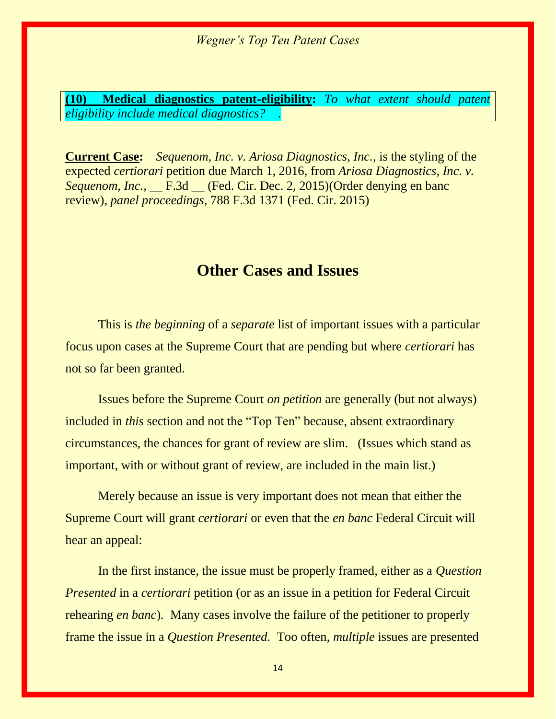**(10) Medical diagnostics patent-eligibility:** *To what extent should patent eligibility include medical diagnostics? .*

**Current Case:** *Sequenom, Inc. v. Ariosa Diagnostics, Inc.,* is the styling of the expected *certiorari* petition due March 1, 2016, from *Ariosa Diagnostics, Inc. v. Sequenom, Inc.,* \_\_ F.3d \_\_ (Fed. Cir. Dec. 2, 2015)(Order denying en banc review), *panel proceedings,* 788 F.3d 1371 (Fed. Cir. 2015)

### **Other Cases and Issues**

This is *the beginning* of a *separate* list of important issues with a particular focus upon cases at the Supreme Court that are pending but where *certiorari* has not so far been granted.

Issues before the Supreme Court *on petition* are generally (but not always) included in *this* section and not the "Top Ten" because, absent extraordinary circumstances, the chances for grant of review are slim. (Issues which stand as important, with or without grant of review, are included in the main list.)

Merely because an issue is very important does not mean that either the Supreme Court will grant *certiorari* or even that the *en banc* Federal Circuit will hear an appeal:

In the first instance, the issue must be properly framed, either as a *Question Presented* in a *certiorari* petition (or as an issue in a petition for Federal Circuit rehearing *en banc*)*.* Many cases involve the failure of the petitioner to properly frame the issue in a *Question Presented.* Too often, *multiple* issues are presented

14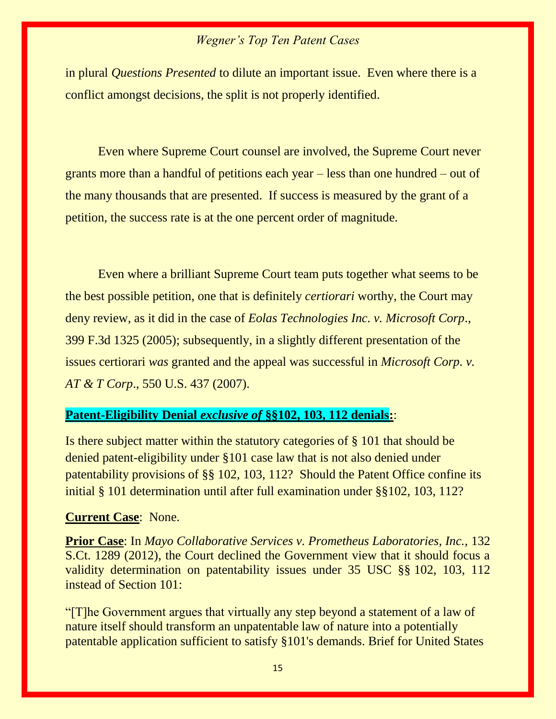in plural *Questions Presented* to dilute an important issue. Even where there is a conflict amongst decisions, the split is not properly identified.

Even where Supreme Court counsel are involved, the Supreme Court never grants more than a handful of petitions each year – less than one hundred – out of the many thousands that are presented. If success is measured by the grant of a petition, the success rate is at the one percent order of magnitude.

Even where a brilliant Supreme Court team puts together what seems to be the best possible petition, one that is definitely *certiorari* worthy, the Court may deny review, as it did in the case of *Eolas Technologies Inc. v. Microsoft Corp*., 399 F.3d 1325 (2005); subsequently, in a slightly different presentation of the issues certiorari *was* granted and the appeal was successful in *Microsoft Corp. v. AT & T Corp*., 550 U.S. 437 (2007).

#### **Patent-Eligibility Denial** *exclusive of* **§§102, 103, 112 denials:**:

Is there subject matter within the statutory categories of § 101 that should be denied patent-eligibility under §101 case law that is not also denied under patentability provisions of §§ 102, 103, 112? Should the Patent Office confine its initial § 101 determination until after full examination under §§102, 103, 112?

#### **Current Case**: None.

**Prior Case**: In *Mayo Collaborative Services v. Prometheus Laboratories, Inc.,* 132 S.Ct. 1289 (2012), the Court declined the Government view that it should focus a validity determination on patentability issues under 35 USC §§ 102, 103, 112 instead of Section 101:

"[T]he Government argues that virtually any step beyond a statement of a law of nature itself should transform an unpatentable law of nature into a potentially patentable application sufficient to satisfy §101's demands. Brief for United States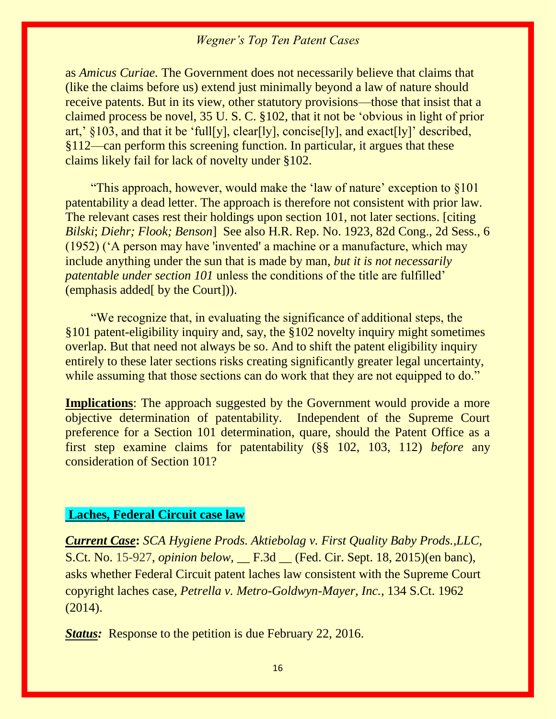as *Amicus Curiae.* The Government does not necessarily believe that claims that (like the claims before us) extend just minimally beyond a law of nature should receive patents. But in its view, other statutory provisions—those that insist that a claimed process be novel, 35 U. S. C. §102, that it not be 'obvious in light of prior art,'  $\{103, \text{ and that it be 'full}[y], \text{clear}[ly], \text{concise}[ly], \text{and exactly'} described,$ §112—can perform this screening function. In particular, it argues that these claims likely fail for lack of novelty under §102.

 "This approach, however, would make the 'law of nature' exception to §101 patentability a dead letter. The approach is therefore not consistent with prior law. The relevant cases rest their holdings upon section 101, not later sections. [citing *Bilski*; *Diehr; Flook; Benson*] See also H.R. Rep. No. 1923, 82d Cong., 2d Sess., 6 (1952) ('A person may have 'invented' a machine or a manufacture, which may include anything under the sun that is made by man, *but it is not necessarily patentable under section 101* unless the conditions of the title are fulfilled' (emphasis added[ by the Court])).

 "We recognize that, in evaluating the significance of additional steps, the §101 patent-eligibility inquiry and, say, the §102 novelty inquiry might sometimes overlap. But that need not always be so. And to shift the patent eligibility inquiry entirely to these later sections risks creating significantly greater legal uncertainty, while assuming that those sections can do work that they are not equipped to do."

**Implications**: The approach suggested by the Government would provide a more objective determination of patentability. Independent of the Supreme Court preference for a Section 101 determination, quare, should the Patent Office as a first step examine claims for patentability (§§ 102, 103, 112) *before* any consideration of Section 101?

#### **Laches, Federal Circuit case law**

*Current Case***:** *SCA Hygiene Prods. Aktiebolag v. First Quality Baby Prods.,LLC,*  S.Ct. No. 15-927, *opinion below,* \_\_ F.3d \_\_ (Fed. Cir. Sept. 18, 2015)(en banc), asks whether Federal Circuit patent laches law consistent with the Supreme Court copyright laches case*, Petrella v. Metro-Goldwyn-Mayer, Inc.,* 134 S.Ct. 1962 (2014).

*Status:* Response to the petition is due February 22, 2016.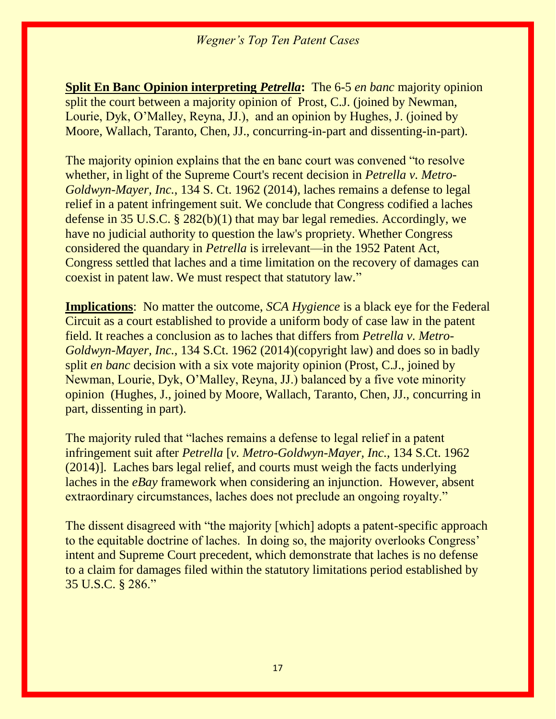**Split En Banc Opinion interpreting** *Petrella***:** The 6-5 *en banc* majority opinion split the court between a majority opinion of Prost, C.J. (joined by Newman, Lourie, Dyk, O'Malley, Reyna, JJ.), and an opinion by Hughes, J. (joined by Moore, Wallach, Taranto, Chen, JJ., concurring-in-part and dissenting-in-part).

The majority opinion explains that the en banc court was convened "to resolve whether, in light of the Supreme Court's recent decision in *Petrella v. Metro-Goldwyn-Mayer, Inc.*, 134 S. Ct. 1962 (2014), laches remains a defense to legal relief in a patent infringement suit. We conclude that Congress codified a laches defense in 35 U.S.C. § 282(b)(1) that may bar legal remedies. Accordingly, we have no judicial authority to question the law's propriety. Whether Congress considered the quandary in *Petrella* is irrelevant—in the 1952 Patent Act, Congress settled that laches and a time limitation on the recovery of damages can coexist in patent law. We must respect that statutory law."

**Implications**: No matter the outcome, *SCA Hygience* is a black eye for the Federal Circuit as a court established to provide a uniform body of case law in the patent field. It reaches a conclusion as to laches that differs from *Petrella v. Metro-Goldwyn-Mayer, Inc.,* 134 S.Ct. 1962 (2014)(copyright law) and does so in badly split *en banc* decision with a six vote majority opinion (Prost, C.J., joined by Newman, Lourie, Dyk, O'Malley, Reyna, JJ.) balanced by a five vote minority opinion (Hughes, J., joined by Moore, Wallach, Taranto, Chen, JJ., concurring in part, dissenting in part).

The majority ruled that "laches remains a defense to legal relief in a patent infringement suit after *Petrella* [*v. Metro-Goldwyn-Mayer, Inc.,* 134 S.Ct. 1962 (2014)]. Laches bars legal relief, and courts must weigh the facts underlying laches in the *eBay* framework when considering an injunction. However, absent extraordinary circumstances, laches does not preclude an ongoing royalty."

The dissent disagreed with "the majority [which] adopts a patent-specific approach to the equitable doctrine of laches. In doing so, the majority overlooks Congress' intent and Supreme Court precedent, which demonstrate that laches is no defense to a claim for damages filed within the statutory limitations period established by 35 U.S.C. § 286."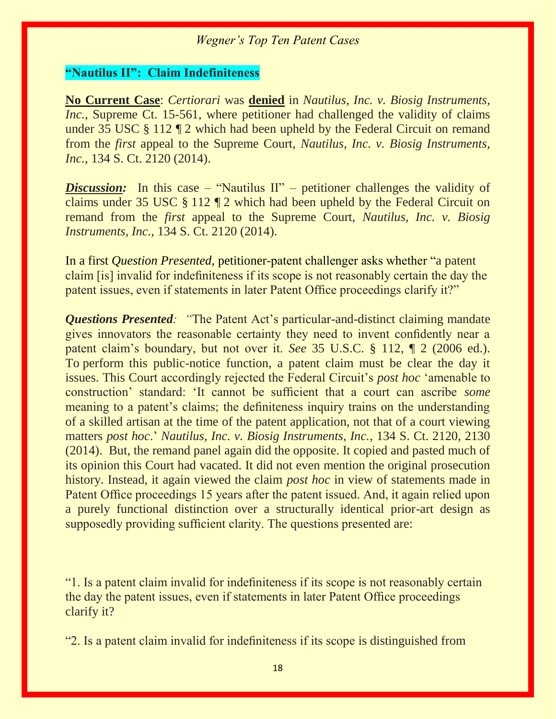#### **"Nautilus II": Claim Indefiniteness**

**No Current Case**: *Certiorari* was **denied** in *Nautilus, Inc. v. Biosig Instruments, Inc.*, Supreme Ct. 15-561, where petitioner had challenged the validity of claims under 35 USC § 112 ¶ 2 which had been upheld by the Federal Circuit on remand from the *first* appeal to the Supreme Court, *Nautilus, Inc. v. Biosig Instruments, Inc.*, 134 S. Ct. 2120 (2014).

*Discussion:* In this case – "Nautilus II" – petitioner challenges the validity of claims under 35 USC § 112 ¶ 2 which had been upheld by the Federal Circuit on remand from the *first* appeal to the Supreme Court, *Nautilus, Inc. v. Biosig Instruments, Inc.*, 134 S. Ct. 2120 (2014).

In a first *Question Presented,* petitioner-patent challenger asks whether "a patent claim [is] invalid for indefiniteness if its scope is not reasonably certain the day the patent issues, even if statements in later Patent Office proceedings clarify it?"

*Questions Presented: "*The Patent Act's particular-and-distinct claiming mandate gives innovators the reasonable certainty they need to invent confidently near a patent claim's boundary, but not over it. *See* 35 U.S.C. § 112, ¶ 2 (2006 ed.). To perform this public-notice function, a patent claim must be clear the day it issues. This Court accordingly rejected the Federal Circuit's *post hoc* 'amenable to construction' standard: 'It cannot be sufficient that a court can ascribe *some* meaning to a patent's claims; the definiteness inquiry trains on the understanding of a skilled artisan at the time of the patent application, not that of a court viewing matters *post hoc*.' *Nautilus, Inc. v. Biosig Instruments, Inc.*, 134 S. Ct. 2120, 2130 (2014). But, the remand panel again did the opposite. It copied and pasted much of its opinion this Court had vacated. It did not even mention the original prosecution history. Instead, it again viewed the claim *post hoc* in view of statements made in Patent Office proceedings 15 years after the patent issued. And, it again relied upon a purely functional distinction over a structurally identical prior-art design as supposedly providing sufficient clarity. The questions presented are:

"1. Is a patent claim invalid for indefiniteness if its scope is not reasonably certain the day the patent issues, even if statements in later Patent Office proceedings clarify it?

"2. Is a patent claim invalid for indefiniteness if its scope is distinguished from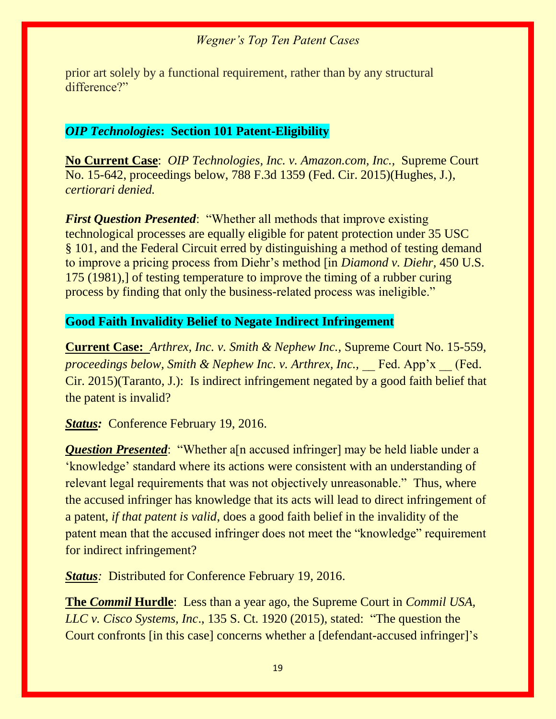prior art solely by a functional requirement, rather than by any structural difference?"

#### *OIP Technologies***: Section 101 Patent-Eligibility**

**No Current Case**: *OIP Technologies, Inc. v. Amazon.com, Inc.,* Supreme Court No. 15-642, proceedings below, 788 F.3d 1359 (Fed. Cir. 2015)(Hughes, J.), *certiorari denied.*

*First Question Presented*: "Whether all methods that improve existing technological processes are equally eligible for patent protection under 35 USC § 101, and the Federal Circuit erred by distinguishing a method of testing demand to improve a pricing process from Diehr's method [in *Diamond v. Diehr,* 450 U.S. 175 (1981),] of testing temperature to improve the timing of a rubber curing process by finding that only the business-related process was ineligible."

#### **Good Faith Invalidity Belief to Negate Indirect Infringement**

**Current Case:** *Arthrex, Inc. v. Smith & Nephew Inc.,* Supreme Court No. 15-559, *proceedings below, Smith & Nephew Inc. v. Arthrex, Inc.,* Fed. App'x (Fed. Cir. 2015)(Taranto, J.): Is indirect infringement negated by a good faith belief that the patent is invalid?

*Status:* Conference February 19, 2016.

*Question Presented*: "Whether a<sup>[n accused infringer] may be held liable under a</sup> 'knowledge' standard where its actions were consistent with an understanding of relevant legal requirements that was not objectively unreasonable." Thus, where the accused infringer has knowledge that its acts will lead to direct infringement of a patent, *if that patent is valid*, does a good faith belief in the invalidity of the patent mean that the accused infringer does not meet the "knowledge" requirement for indirect infringement?

*Status:* Distributed for Conference February 19, 2016.

**The** *Commil* **Hurdle**: Less than a year ago, the Supreme Court in *Commil USA, LLC v. Cisco Systems, Inc*., 135 S. Ct. 1920 (2015), stated: "The question the Court confronts [in this case] concerns whether a [defendant-accused infringer]'s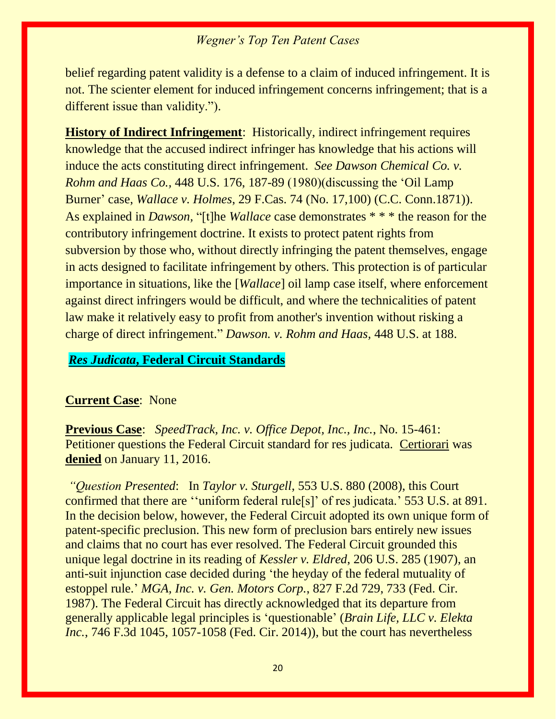belief regarding patent validity is a defense to a claim of induced infringement. It is not. The scienter element for induced infringement concerns infringement; that is a different issue than validity.").

**History of Indirect Infringement**: Historically, indirect infringement requires knowledge that the accused indirect infringer has knowledge that his actions will induce the acts constituting direct infringement. *See Dawson Chemical Co. v. Rohm and Haas Co.,* 448 U.S. 176, 187-89 (1980)(discussing the 'Oil Lamp Burner' case, *Wallace v. Holmes*, 29 F.Cas. 74 (No. 17,100) (C.C. Conn.1871)). As explained in *Dawson,* "[t]he *Wallace* case demonstrates \* \* \* the reason for the contributory infringement doctrine. It exists to protect patent rights from subversion by those who, without directly infringing the patent themselves, engage in acts designed to facilitate infringement by others. This protection is of particular importance in situations, like the [*Wallace*] oil lamp case itself, where enforcement against direct infringers would be difficult, and where the technicalities of patent law make it relatively easy to profit from another's invention without risking a charge of direct infringement." *Dawson. v. Rohm and Haas,* 448 U.S. at 188.

#### *Res Judicata***, Federal Circuit Standards**

#### **Current Case**: None

**Previous Case**: *SpeedTrack, Inc. v. Office Depot, Inc., Inc.*, No. 15-461: Petitioner questions the Federal Circuit standard for res judicata. Certiorari was **denied** on January 11, 2016.

*"Question Presented*: In *Taylor v. Sturgell*, 553 U.S. 880 (2008), this Court confirmed that there are ''uniform federal rule[s]' of res judicata.' 553 U.S. at 891. In the decision below, however, the Federal Circuit adopted its own unique form of patent-specific preclusion. This new form of preclusion bars entirely new issues and claims that no court has ever resolved. The Federal Circuit grounded this unique legal doctrine in its reading of *Kessler v. Eldred*, 206 U.S. 285 (1907), an anti-suit injunction case decided during 'the heyday of the federal mutuality of estoppel rule.' *MGA, Inc. v. Gen. Motors Corp.*, 827 F.2d 729, 733 (Fed. Cir. 1987). The Federal Circuit has directly acknowledged that its departure from generally applicable legal principles is 'questionable' (*Brain Life, LLC v. Elekta Inc.*, 746 F.3d 1045, 1057-1058 (Fed. Cir. 2014)), but the court has nevertheless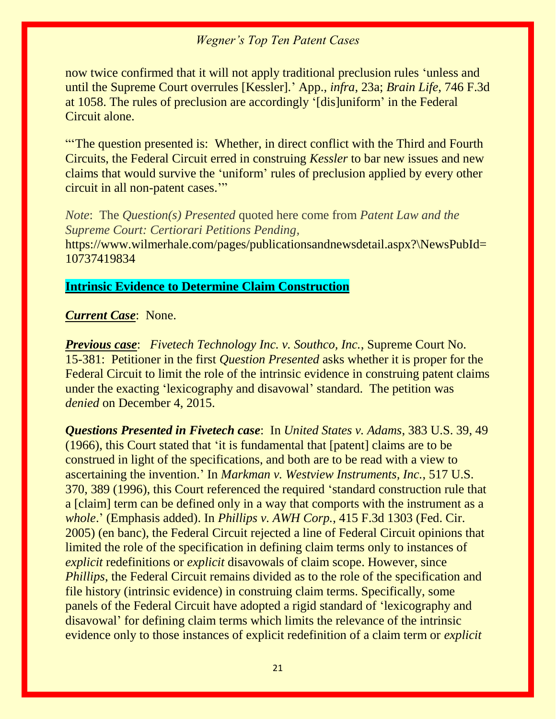now twice confirmed that it will not apply traditional preclusion rules 'unless and until the Supreme Court overrules [Kessler].' App., *infra*, 23a; *Brain Life*, 746 F.3d at 1058. The rules of preclusion are accordingly '[dis]uniform' in the Federal Circuit alone.

"'The question presented is: Whether, in direct conflict with the Third and Fourth Circuits, the Federal Circuit erred in construing *Kessler* to bar new issues and new claims that would survive the 'uniform' rules of preclusion applied by every other circuit in all non-patent cases.'"

*Note*: The *Question(s) Presented* quoted here come from *Patent Law and the Supreme Court: Certiorari Petitions Pending,*  https://www.wilmerhale.com/pages/publicationsandnewsdetail.aspx?\NewsPubId= 10737419834

#### **Intrinsic Evidence to Determine Claim Construction**

#### *Current Case*: None.

*Previous case*: *Fivetech Technology Inc. v. Southco, Inc.*, Supreme Court No. 15-381: Petitioner in the first *Question Presented* asks whether it is proper for the Federal Circuit to limit the role of the intrinsic evidence in construing patent claims under the exacting 'lexicography and disavowal' standard. The petition was *denied* on December 4, 2015.

*Questions Presented in Fivetech case*: In *United States v. Adams*, 383 U.S. 39, 49 (1966), this Court stated that 'it is fundamental that [patent] claims are to be construed in light of the specifications, and both are to be read with a view to ascertaining the invention.' In *Markman v. Westview Instruments, Inc.*, 517 U.S. 370, 389 (1996), this Court referenced the required 'standard construction rule that a [claim] term can be defined only in a way that comports with the instrument as a *whole*.' (Emphasis added). In *Phillips v. AWH Corp.*, 415 F.3d 1303 (Fed. Cir. 2005) (en banc), the Federal Circuit rejected a line of Federal Circuit opinions that limited the role of the specification in defining claim terms only to instances of *explicit* redefinitions or *explicit* disavowals of claim scope. However, since *Phillips*, the Federal Circuit remains divided as to the role of the specification and file history (intrinsic evidence) in construing claim terms. Specifically, some panels of the Federal Circuit have adopted a rigid standard of 'lexicography and disavowal' for defining claim terms which limits the relevance of the intrinsic evidence only to those instances of explicit redefinition of a claim term or *explicit*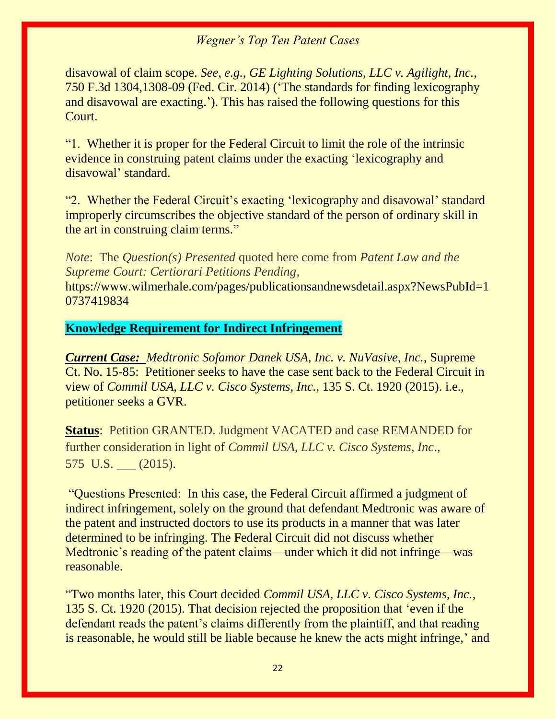disavowal of claim scope. *See, e.g.*, *GE Lighting Solutions, LLC v. Agilight, Inc.*, 750 F.3d 1304,1308-09 (Fed. Cir. 2014) ('The standards for finding lexicography and disavowal are exacting.'). This has raised the following questions for this Court.

"1. Whether it is proper for the Federal Circuit to limit the role of the intrinsic evidence in construing patent claims under the exacting 'lexicography and disavowal' standard.

"2. Whether the Federal Circuit's exacting 'lexicography and disavowal' standard improperly circumscribes the objective standard of the person of ordinary skill in the art in construing claim terms."

*Note*: The *Question(s) Presented* quoted here come from *Patent Law and the Supreme Court: Certiorari Petitions Pending,* 

https://www.wilmerhale.com/pages/publicationsandnewsdetail.aspx?NewsPubId=1 0737419834

#### **Knowledge Requirement for Indirect Infringement**

*Current Case: Medtronic Sofamor Danek USA, Inc. v. NuVasive, Inc.*, Supreme Ct. No. 15-85: Petitioner seeks to have the case sent back to the Federal Circuit in view of *Commil USA, LLC v. Cisco Systems, Inc.*, 135 S. Ct. 1920 (2015). i.e., petitioner seeks a GVR.

**Status**: Petition GRANTED. Judgment VACATED and case REMANDED for further consideration in light of *Commil USA, LLC v. Cisco Systems, Inc*., 575 U.S. (2015).

"Questions Presented: In this case, the Federal Circuit affirmed a judgment of indirect infringement, solely on the ground that defendant Medtronic was aware of the patent and instructed doctors to use its products in a manner that was later determined to be infringing. The Federal Circuit did not discuss whether Medtronic's reading of the patent claims—under which it did not infringe—was reasonable.

"Two months later, this Court decided *Commil USA, LLC v. Cisco Systems, Inc.*, 135 S. Ct. 1920 (2015). That decision rejected the proposition that 'even if the defendant reads the patent's claims differently from the plaintiff, and that reading is reasonable, he would still be liable because he knew the acts might infringe,' and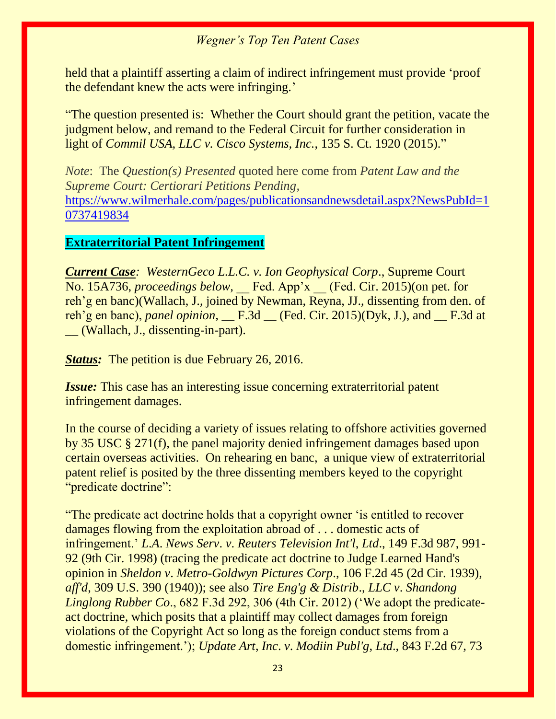held that a plaintiff asserting a claim of indirect infringement must provide 'proof the defendant knew the acts were infringing.'

"The question presented is: Whether the Court should grant the petition, vacate the judgment below, and remand to the Federal Circuit for further consideration in light of *Commil USA, LLC v. Cisco Systems, Inc.*, 135 S. Ct. 1920 (2015)."

*Note*: The *Question(s) Presented* quoted here come from *Patent Law and the Supreme Court: Certiorari Petitions Pending,*  [https://www.wilmerhale.com/pages/publicationsandnewsdetail.aspx?NewsPubId=1](https://www.wilmerhale.com/pages/publicationsandnewsdetail.aspx?NewsPubId=10737419834) [0737419834](https://www.wilmerhale.com/pages/publicationsandnewsdetail.aspx?NewsPubId=10737419834)

#### **Extraterritorial Patent Infringement**

*Current Case: WesternGeco L.L.C. v. Ion Geophysical Corp*., Supreme Court No. 15A736, *proceedings below*, Fed. App'x (Fed. Cir. 2015)(on pet. for reh'g en banc)(Wallach, J., joined by Newman, Reyna, JJ., dissenting from den. of reh'g en banc), *panel opinion,* \_\_ F.3d \_\_ (Fed. Cir. 2015)(Dyk, J.), and \_\_ F.3d at \_\_ (Wallach, J., dissenting-in-part).

*Status:* The petition is due February 26, 2016.

*Issue:* This case has an interesting issue concerning extraterritorial patent infringement damages.

In the course of deciding a variety of issues relating to offshore activities governed by 35 USC § 271(f), the panel majority denied infringement damages based upon certain overseas activities. On rehearing en banc, a unique view of extraterritorial patent relief is posited by the three dissenting members keyed to the copyright "predicate doctrine":

"The predicate act doctrine holds that a copyright owner 'is entitled to recover damages flowing from the exploitation abroad of . . . domestic acts of infringement.' *L*.*A*. *News Serv*. *v*. *Reuters Television Int'l*, *Ltd*., 149 F.3d 987, 991- 92 (9th Cir. 1998) (tracing the predicate act doctrine to Judge Learned Hand's opinion in *Sheldon v*. *Metro-Goldwyn Pictures Corp*., 106 F.2d 45 (2d Cir. 1939), *aff'd*, 309 U.S. 390 (1940)); see also *Tire Eng'g & Distrib*., *LLC v*. *Shandong Linglong Rubber Co*., 682 F.3d 292, 306 (4th Cir. 2012) ('We adopt the predicateact doctrine, which posits that a plaintiff may collect damages from foreign violations of the Copyright Act so long as the foreign conduct stems from a domestic infringement.'); *Update Art*, *Inc*. *v*. *Modiin Publ'g*, *Ltd*., 843 F.2d 67, 73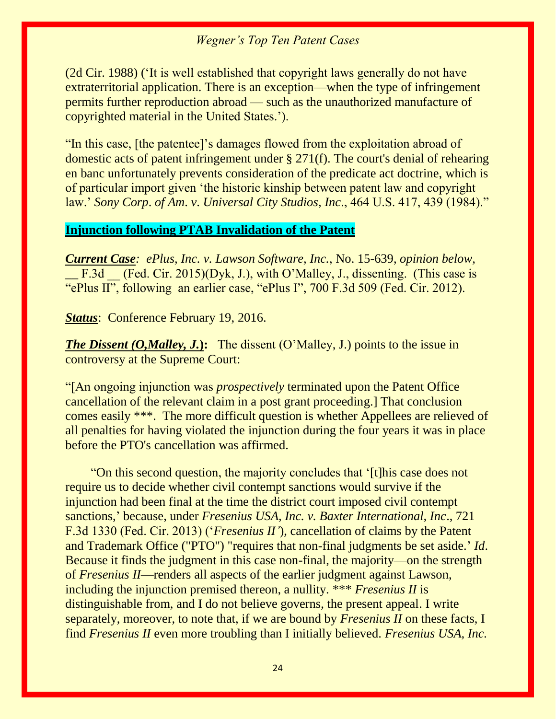(2d Cir. 1988) ('It is well established that copyright laws generally do not have extraterritorial application. There is an exception—when the type of infringement permits further reproduction abroad — such as the unauthorized manufacture of copyrighted material in the United States.').

"In this case, [the patentee]'s damages flowed from the exploitation abroad of domestic acts of patent infringement under § 271(f). The court's denial of rehearing en banc unfortunately prevents consideration of the predicate act doctrine, which is of particular import given 'the historic kinship between patent law and copyright law.' *Sony Corp*. *of Am*. *v*. *Universal City Studios*, *Inc*., 464 U.S. 417, 439 (1984)."

#### **Injunction following PTAB Invalidation of the Patent**

*Current Case: ePlus, Inc. v. Lawson Software, Inc.*, No. 15-639, *opinion below, \_\_* F.3d \_\_ (Fed. Cir. 2015)(Dyk, J.), with O'Malley, J., dissenting. (This case is "ePlus II", following an earlier case, "ePlus I", 700 F.3d 509 (Fed. Cir. 2012).

*Status*: Conference February 19, 2016.

*The Dissent (O,Malley, J.*): The dissent (O'Malley, J.) points to the issue in controversy at the Supreme Court:

"[An ongoing injunction was *prospectively* terminated upon the Patent Office cancellation of the relevant claim in a post grant proceeding.] That conclusion comes easily \*\*\*. The more difficult question is whether Appellees are relieved of all penalties for having violated the injunction during the four years it was in place before the PTO's cancellation was affirmed.

 "On this second question, the majority concludes that '[t]his case does not require us to decide whether civil contempt sanctions would survive if the injunction had been final at the time the district court imposed civil contempt sanctions,' because, under *Fresenius USA, Inc. v. Baxter International, Inc*., 721 F.3d 1330 (Fed. Cir. 2013) ('*Fresenius II'*), cancellation of claims by the Patent and Trademark Office ("PTO") "requires that non-final judgments be set aside.' *Id*. Because it finds the judgment in this case non-final, the majority—on the strength of *Fresenius II*—renders all aspects of the earlier judgment against Lawson, including the injunction premised thereon, a nullity. \*\*\* *Fresenius II* is distinguishable from, and I do not believe governs, the present appeal. I write separately, moreover, to note that, if we are bound by *Fresenius II* on these facts, I find *Fresenius II* even more troubling than I initially believed. *Fresenius USA, Inc.*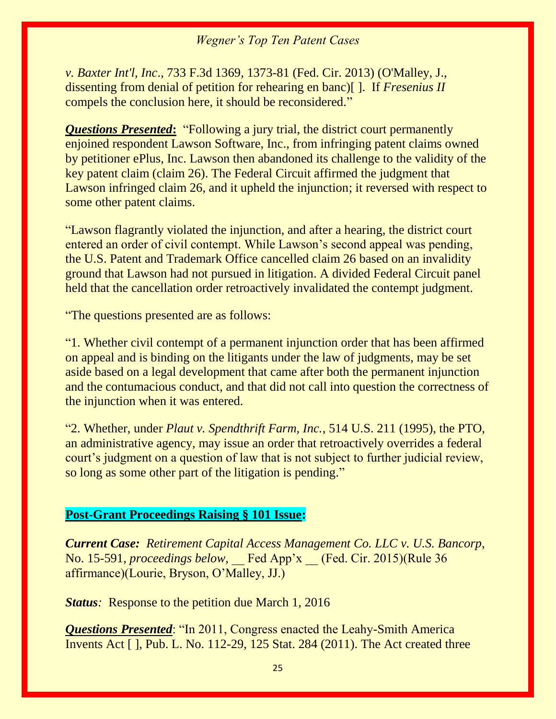*v. Baxter Int'l, Inc*., 733 F.3d 1369, 1373-81 (Fed. Cir. 2013) (O'Malley, J., dissenting from denial of petition for rehearing en banc)[ ]. If *Fresenius II* compels the conclusion here, it should be reconsidered."

*Questions Presented***:** "Following a jury trial, the district court permanently enjoined respondent Lawson Software, Inc., from infringing patent claims owned by petitioner ePlus, Inc. Lawson then abandoned its challenge to the validity of the key patent claim (claim 26). The Federal Circuit affirmed the judgment that Lawson infringed claim 26, and it upheld the injunction; it reversed with respect to some other patent claims.

"Lawson flagrantly violated the injunction, and after a hearing, the district court entered an order of civil contempt. While Lawson's second appeal was pending, the U.S. Patent and Trademark Office cancelled claim 26 based on an invalidity ground that Lawson had not pursued in litigation. A divided Federal Circuit panel held that the cancellation order retroactively invalidated the contempt judgment.

"The questions presented are as follows:

"1. Whether civil contempt of a permanent injunction order that has been affirmed on appeal and is binding on the litigants under the law of judgments, may be set aside based on a legal development that came after both the permanent injunction and the contumacious conduct, and that did not call into question the correctness of the injunction when it was entered.

"2. Whether, under *Plaut v. Spendthrift Farm, Inc.*, 514 U.S. 211 (1995), the PTO, an administrative agency, may issue an order that retroactively overrides a federal court's judgment on a question of law that is not subject to further judicial review, so long as some other part of the litigation is pending."

#### **Post-Grant Proceedings Raising § 101 Issue:**

*Current Case: Retirement Capital Access Management Co. LLC v. U.S. Bancorp*, No. 15-591, *proceedings below,* \_\_ Fed App'x \_\_ (Fed. Cir. 2015)(Rule 36 affirmance)(Lourie, Bryson, O'Malley, JJ.)

*Status*: Response to the petition due March 1, 2016

*Questions Presented*: "In 2011, Congress enacted the Leahy-Smith America Invents Act [ ], Pub. L. No. 112-29, 125 Stat. 284 (2011). The Act created three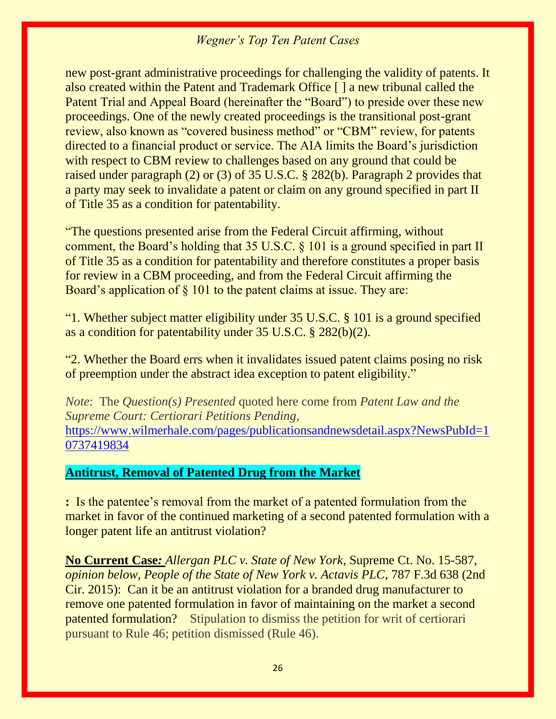new post-grant administrative proceedings for challenging the validity of patents. It also created within the Patent and Trademark Office [ ] a new tribunal called the Patent Trial and Appeal Board (hereinafter the "Board") to preside over these new proceedings. One of the newly created proceedings is the transitional post-grant review, also known as "covered business method" or "CBM" review, for patents directed to a financial product or service. The AIA limits the Board's jurisdiction with respect to CBM review to challenges based on any ground that could be raised under paragraph (2) or (3) of 35 U.S.C. § 282(b). Paragraph 2 provides that a party may seek to invalidate a patent or claim on any ground specified in part II of Title 35 as a condition for patentability.

"The questions presented arise from the Federal Circuit affirming, without comment, the Board's holding that 35 U.S.C. § 101 is a ground specified in part II of Title 35 as a condition for patentability and therefore constitutes a proper basis for review in a CBM proceeding, and from the Federal Circuit affirming the Board's application of § 101 to the patent claims at issue. They are:

"1. Whether subject matter eligibility under 35 U.S.C. § 101 is a ground specified as a condition for patentability under 35 U.S.C. § 282(b)(2).

"2. Whether the Board errs when it invalidates issued patent claims posing no risk of preemption under the abstract idea exception to patent eligibility."

*Note*: The *Question(s) Presented* quoted here come from *Patent Law and the Supreme Court: Certiorari Petitions Pending,*  [https://www.wilmerhale.com/pages/publicationsandnewsdetail.aspx?NewsPubId=1](https://www.wilmerhale.com/pages/publicationsandnewsdetail.aspx?NewsPubId=10737419834) [0737419834](https://www.wilmerhale.com/pages/publicationsandnewsdetail.aspx?NewsPubId=10737419834)

#### **Antitrust, Removal of Patented Drug from the Market**

**:** Is the patentee's removal from the market of a patented formulation from the market in favor of the continued marketing of a second patented formulation with a longer patent life an antitrust violation?

**No Current Case***: Allergan PLC v. State of New York*, Supreme Ct. No. 15-587, *opinion below, People of the State of New York v. Actavis PLC*, 787 F.3d 638 (2nd Cir. 2015): Can it be an antitrust violation for a branded drug manufacturer to remove one patented formulation in favor of maintaining on the market a second patented formulation? Stipulation to dismiss the petition for writ of certiorari pursuant to Rule 46; petition dismissed (Rule 46).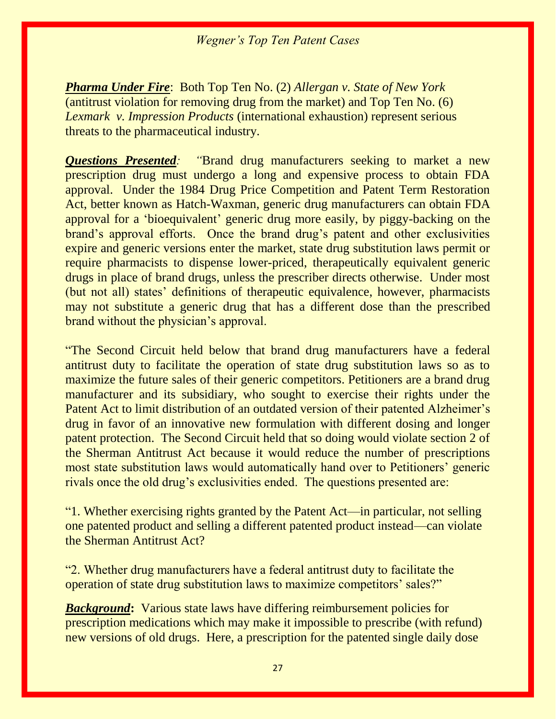*Pharma Under Fire*: Both Top Ten No. (2) *Allergan v. State of New York* (antitrust violation for removing drug from the market) and Top Ten No. (6) *Lexmark v. Impression Products* (international exhaustion) represent serious threats to the pharmaceutical industry.

*Questions Presented: "*Brand drug manufacturers seeking to market a new prescription drug must undergo a long and expensive process to obtain FDA approval. Under the 1984 Drug Price Competition and Patent Term Restoration Act, better known as Hatch-Waxman, generic drug manufacturers can obtain FDA approval for a 'bioequivalent' generic drug more easily, by piggy-backing on the brand's approval efforts. Once the brand drug's patent and other exclusivities expire and generic versions enter the market, state drug substitution laws permit or require pharmacists to dispense lower-priced, therapeutically equivalent generic drugs in place of brand drugs, unless the prescriber directs otherwise. Under most (but not all) states' definitions of therapeutic equivalence, however, pharmacists may not substitute a generic drug that has a different dose than the prescribed brand without the physician's approval.

"The Second Circuit held below that brand drug manufacturers have a federal antitrust duty to facilitate the operation of state drug substitution laws so as to maximize the future sales of their generic competitors. Petitioners are a brand drug manufacturer and its subsidiary, who sought to exercise their rights under the Patent Act to limit distribution of an outdated version of their patented Alzheimer's drug in favor of an innovative new formulation with different dosing and longer patent protection. The Second Circuit held that so doing would violate section 2 of the Sherman Antitrust Act because it would reduce the number of prescriptions most state substitution laws would automatically hand over to Petitioners' generic rivals once the old drug's exclusivities ended. The questions presented are:

"1. Whether exercising rights granted by the Patent Act—in particular, not selling one patented product and selling a different patented product instead—can violate the Sherman Antitrust Act?

"2. Whether drug manufacturers have a federal antitrust duty to facilitate the operation of state drug substitution laws to maximize competitors' sales?"

*Background***:** Various state laws have differing reimbursement policies for prescription medications which may make it impossible to prescribe (with refund) new versions of old drugs. Here, a prescription for the patented single daily dose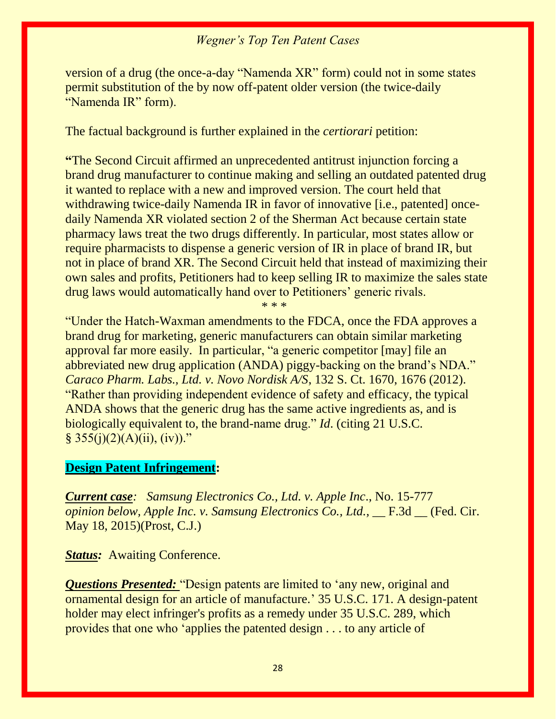version of a drug (the once-a-day "Namenda XR" form) could not in some states permit substitution of the by now off-patent older version (the twice-daily "Namenda IR" form).

The factual background is further explained in the *certiorari* petition:

**"**The Second Circuit affirmed an unprecedented antitrust injunction forcing a brand drug manufacturer to continue making and selling an outdated patented drug it wanted to replace with a new and improved version. The court held that withdrawing twice-daily Namenda IR in favor of innovative [i.e., patented] oncedaily Namenda XR violated section 2 of the Sherman Act because certain state pharmacy laws treat the two drugs differently. In particular, most states allow or require pharmacists to dispense a generic version of IR in place of brand IR, but not in place of brand XR. The Second Circuit held that instead of maximizing their own sales and profits, Petitioners had to keep selling IR to maximize the sales state drug laws would automatically hand over to Petitioners' generic rivals.

\* \* \*

"Under the Hatch-Waxman amendments to the FDCA, once the FDA approves a brand drug for marketing, generic manufacturers can obtain similar marketing approval far more easily. In particular, "a generic competitor [may] file an abbreviated new drug application (ANDA) piggy-backing on the brand's NDA." *Caraco Pharm. Labs., Ltd. v. Novo Nordisk A/S*, 132 S. Ct. 1670, 1676 (2012). "Rather than providing independent evidence of safety and efficacy, the typical ANDA shows that the generic drug has the same active ingredients as, and is biologically equivalent to, the brand-name drug." *Id*. (citing 21 U.S.C.  $§ 355(j)(2)(A)(ii), (iv))."$ 

#### **Design Patent Infringement:**

*Current case: Samsung Electronics Co., Ltd. v. Apple Inc*., No. 15-777 *opinion below, Apple Inc. v. Samsung Electronics Co., Ltd.,* \_\_ F.3d \_\_ (Fed. Cir. May 18, 2015)(Prost, C.J.)

**Status:** Awaiting Conference.

*Questions Presented:* "Design patents are limited to 'any new, original and ornamental design for an article of manufacture.' 35 U.S.C. 171. A design-patent holder may elect infringer's profits as a remedy under 35 U.S.C. 289, which provides that one who 'applies the patented design . . . to any article of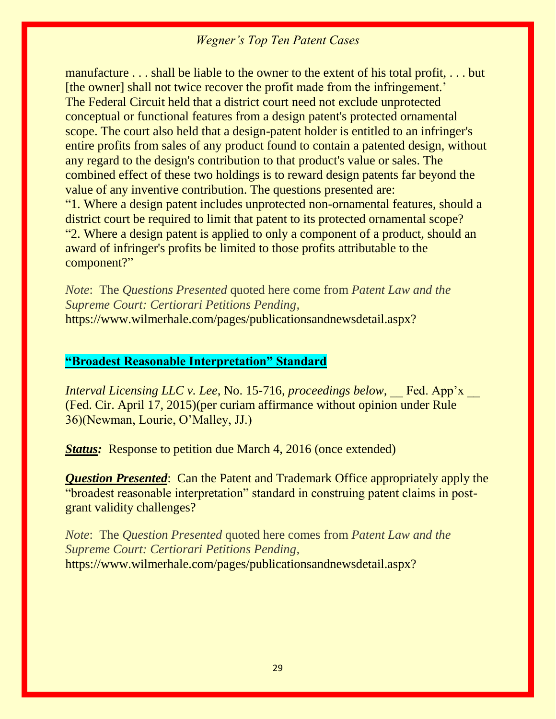manufacture . . . shall be liable to the owner to the extent of his total profit, . . . but [the owner] shall not twice recover the profit made from the infringement.' The Federal Circuit held that a district court need not exclude unprotected conceptual or functional features from a design patent's protected ornamental scope. The court also held that a design-patent holder is entitled to an infringer's entire profits from sales of any product found to contain a patented design, without any regard to the design's contribution to that product's value or sales. The combined effect of these two holdings is to reward design patents far beyond the value of any inventive contribution. The questions presented are: "1. Where a design patent includes unprotected non-ornamental features, should a district court be required to limit that patent to its protected ornamental scope? "2. Where a design patent is applied to only a component of a product, should an award of infringer's profits be limited to those profits attributable to the component?"

*Note*: The *Questions Presented* quoted here come from *Patent Law and the Supreme Court: Certiorari Petitions Pending,*  https://www.wilmerhale.com/pages/publicationsandnewsdetail.aspx?

#### **"Broadest Reasonable Interpretation" Standard**

*Interval Licensing LLC v. Lee, No. 15-716, proceedings below,* Fed. App'x (Fed. Cir. April 17, 2015)(per curiam affirmance without opinion under Rule 36)(Newman, Lourie, O'Malley, JJ.)

**Status:** Response to petition due March 4, 2016 (once extended)

*Question Presented*: Can the Patent and Trademark Office appropriately apply the "broadest reasonable interpretation" standard in construing patent claims in postgrant validity challenges?

*Note*: The *Question Presented* quoted here comes from *Patent Law and the Supreme Court: Certiorari Petitions Pending,*  https://www.wilmerhale.com/pages/publicationsandnewsdetail.aspx?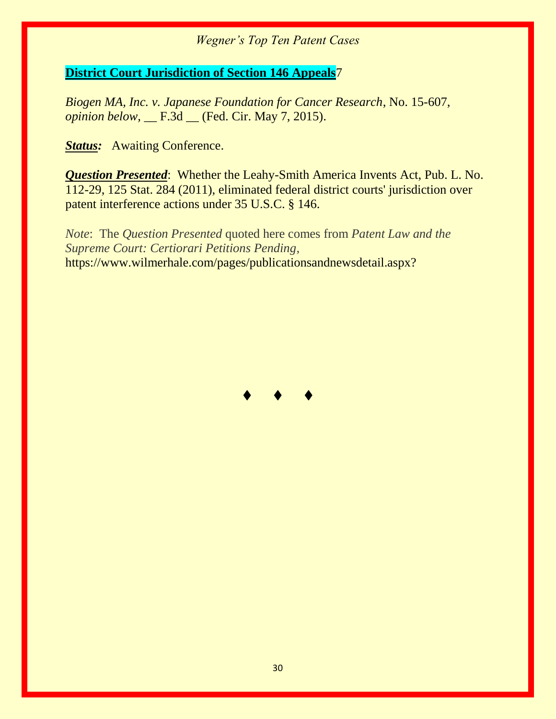#### **District Court Jurisdiction of Section 146 Appeals**7

*Biogen MA, Inc. v. Japanese Foundation for Cancer Research*, No. 15-607, *opinion below,* \_\_ F.3d \_\_ (Fed. Cir. May 7, 2015).

**Status:** Awaiting Conference.

*Question Presented*: Whether the Leahy-Smith America Invents Act, Pub. L. No. 112-29, 125 Stat. 284 (2011), eliminated federal district courts' jurisdiction over patent interference actions under 35 U.S.C. § 146.

*Note*: The *Question Presented* quoted here comes from *Patent Law and the Supreme Court: Certiorari Petitions Pending,*  https://www.wilmerhale.com/pages/publicationsandnewsdetail.aspx?

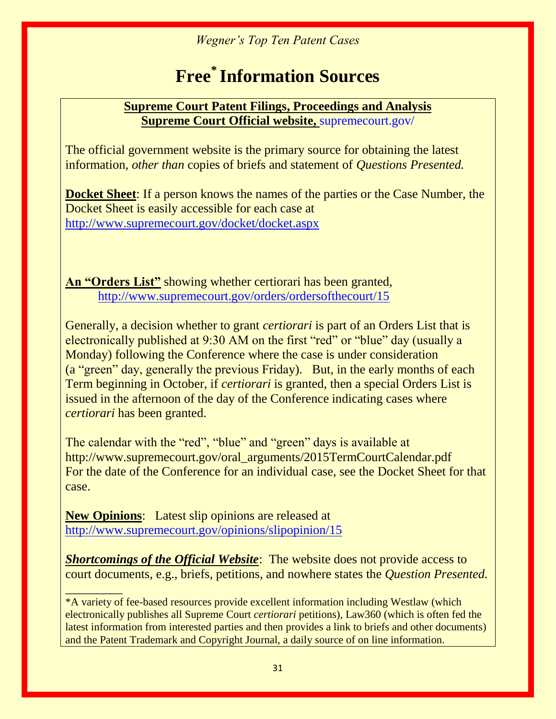# **Free\* Information Sources**

#### **Supreme Court Patent Filings, Proceedings and Analysis Supreme Court Official website,** supremecourt.gov/

The official government website is the primary source for obtaining the latest information, *other than* copies of briefs and statement of *Questions Presented.*

**Docket Sheet**: If a person knows the names of the parties or the Case Number, the Docket Sheet is easily accessible for each case at <http://www.supremecourt.gov/docket/docket.aspx>

**An "Orders List"** showing whether certiorari has been granted, <http://www.supremecourt.gov/orders/ordersofthecourt/15>

Generally, a decision whether to grant *certiorari* is part of an Orders List that is electronically published at 9:30 AM on the first "red" or "blue" day (usually a Monday) following the Conference where the case is under consideration (a "green" day, generally the previous Friday). But, in the early months of each Term beginning in October, if *certiorari* is granted, then a special Orders List is issued in the afternoon of the day of the Conference indicating cases where *certiorari* has been granted.

The calendar with the "red", "blue" and "green" days is available at http://www.supremecourt.gov/oral\_arguments/2015TermCourtCalendar.pdf For the date of the Conference for an individual case, see the Docket Sheet for that case.

**New Opinions**: Latest slip opinions are released at <http://www.supremecourt.gov/opinions/slipopinion/15>

**Shortcomings of the Official Website**: The website does not provide access to court documents, e.g., briefs, petitions, and nowhere states the *Question Presented.*

*\_\_\_\_\_\_\_\_\_* \*A variety of fee-based resources provide excellent information including Westlaw (which electronically publishes all Supreme Court *certiorari* petitions), Law360 (which is often fed the latest information from interested parties and then provides a link to briefs and other documents) and the Patent Trademark and Copyright Journal, a daily source of on line information.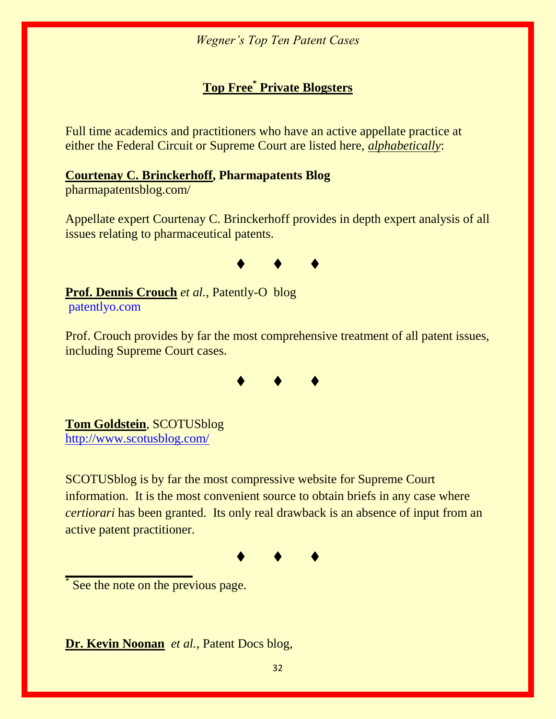### **Top Free\* Private Blogsters**

Full time academics and practitioners who have an active appellate practice at either the Federal Circuit or Supreme Court are listed here, *alphabetically*:

#### **[Courtenay C. Brinckerhoff,](http://www.foley.com/courtenay-c-brinckerhoff/) Pharmapatents Blog**

pharmapatentsblog.com/

Appellate expert Courtenay C. Brinckerhoff provides in depth expert analysis of all issues relating to pharmaceutical patents.



**Prof. Dennis Crouch** *et al.*, Patently-O blog patentlyo.com

Prof. Crouch provides by far the most comprehensive treatment of all patent issues, including Supreme Court cases.



**Tom Goldstein**, SCOTUSblog <http://www.scotusblog.com/>

SCOTUSblog is by far the most compressive website for Supreme Court information. It is the most convenient source to obtain briefs in any case where *certiorari* has been granted. Its only real drawback is an absence of input from an active patent practitioner.

♦♦♦

\* See the note on the previous page.

**\_\_\_\_\_\_\_\_\_\_\_\_\_\_\_\_\_\_\_\_**

**Dr. Kevin Noonan** *et al.*, Patent Docs blog,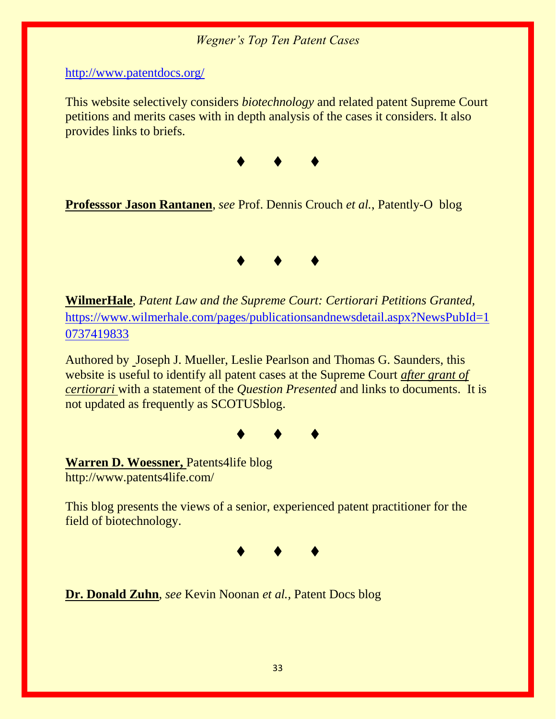<http://www.patentdocs.org/>

This website selectively considers *biotechnology* and related patent Supreme Court petitions and merits cases with in depth analysis of the cases it considers. It also provides links to briefs.



**Professsor Jason Rantanen**, *see* Prof. Dennis Crouch *et al.*, Patently-O blog



**WilmerHale**, *Patent Law and the Supreme Court: Certiorari Petitions Granted,* [https://www.wilmerhale.com/pages/publicationsandnewsdetail.aspx?NewsPubId=1](https://www.wilmerhale.com/pages/publicationsandnewsdetail.aspx?NewsPubId=10737419833) [0737419833](https://www.wilmerhale.com/pages/publicationsandnewsdetail.aspx?NewsPubId=10737419833)

Authored by Joseph J. Mueller, Leslie Pearlson and Thomas G. Saunders, this website is useful to identify all patent cases at the Supreme Court *after grant of certiorari* with a statement of the *Question Presented* and links to documents. It is not updated as frequently as SCOTUSblog.



**Warren D. Woessner,** Patents4life blog http://www.patents4life.com/

This blog presents the views of a senior, experienced patent practitioner for the field of biotechnology.



**Dr. Donald Zuhn**, *see* Kevin Noonan *et al.,* Patent Docs blog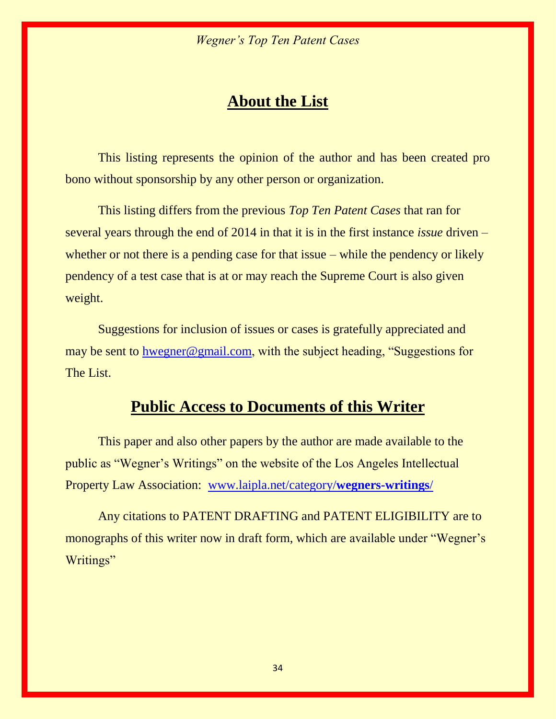### **About the List**

This listing represents the opinion of the author and has been created pro bono without sponsorship by any other person or organization.

This listing differs from the previous *Top Ten Patent Cases* that ran for several years through the end of 2014 in that it is in the first instance *issue* driven – whether or not there is a pending case for that issue – while the pendency or likely pendency of a test case that is at or may reach the Supreme Court is also given weight.

Suggestions for inclusion of issues or cases is gratefully appreciated and may be sent to [hwegner@gmail.com](mailto:hwegner@gmail.com), with the subject heading, "Suggestions for The List.

## **Public Access to Documents of this Writer**

This paper and also other papers by the author are made available to the public as "Wegner's Writings" on the website of the Los Angeles Intellectual Property Law Association: [www.laipla.net/category/](http://www.laipla.net/category/wegners-writings/)**wegners-writings**/

Any citations to PATENT DRAFTING and PATENT ELIGIBILITY are to monographs of this writer now in draft form, which are available under "Wegner's Writings"